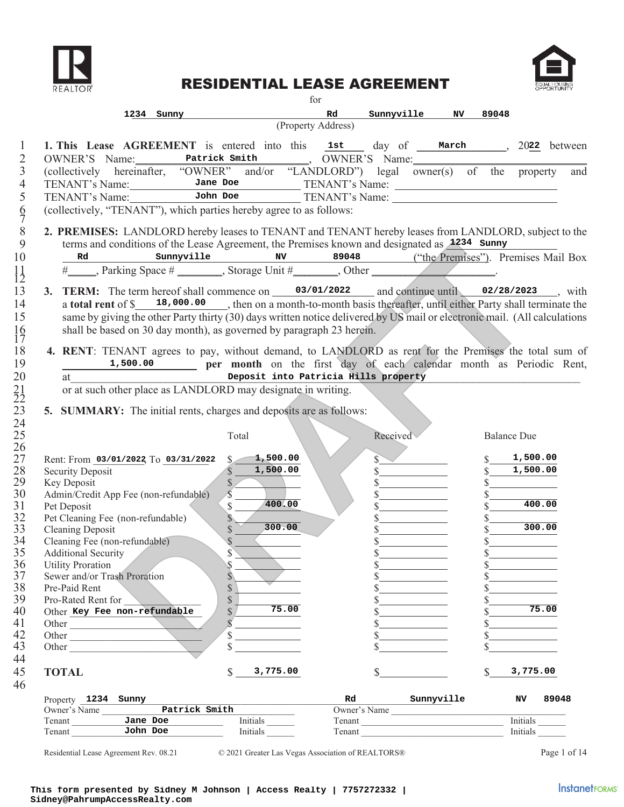

## RESIDENTIAL LEASE AGREEMENT



| 1234 Sunny<br>1. This Lease AGREEMENT is entered into this 1st day of March , 2022 between<br>OWNER'S Name: Patrick Smith , OWNER'S Name: <sup>7</sup> 7 7 20000001 (collectively hereinafter, "OWNER" and/or "LANDLORD") legal owner(s) of the property and<br>TENANT's Name: <b>Jane Doe</b> TENANT's Name: <b>TENANT's Name:</b> TENANT's Name: <b>TENANT's Name:</b><br>(collectively, "TENANT"), which parties hereby agree to as follows:<br>2. PREMISES: LANDLORD hereby leases to TENANT and TENANT hereby leases from LANDLORD, subject to the<br>terms and conditions of the Lease Agreement, the Premises known and designated as 1234 sunny<br>Rd sunnyville NV 89048 ("the Premises"). Premises Mail Box #_____, Parking Space #______, Storage Unit #_____, Other<br>3. TERM: The term hereof shall commence on $\frac{0.3}{0.1}{2022}$ and continue until $\frac{0.2}{28}{2023}$ , with<br>a total rent of \$ 18,000.00, then on a month-to-month basis thereafter, until either Party shall terminate the<br>same by giving the other Party thirty (30) days written notice delivered by US mail or electronic mail. (All calculations<br>shall be based on 30 day month), as governed by paragraph 23 herein.<br>4. RENT: TENANT agrees to pay, without demand, to LANDLORD as rent for the Premises the total sum of<br>1,500.00 <b>per month</b> on the first day of each calendar month as Periodic Rent,<br>Deposit into Patricia Hills property<br>at the contract of the contract of the contract of the contract of the contract of the contract of the contract of the contract of the contract of the contract of the contract of the contract of the contract of the contrac<br>or at such other place as LANDLORD may designate in writing.<br>5. SUMMARY: The initial rents, charges and deposits are as follows:<br>Total<br>1,500.00<br>Rent: From 03/01/2022, To 03/31/2022<br>$\mathcal{S}^-$<br>$\mathbb{S}$<br>1,500.00<br><b>Security Deposit</b><br>$\mathbb{S}^{\mathbb{Z}}$<br>Key Deposit<br>$\mathcal{S}$<br>Admin/Credit App Fee (non-refundable)<br>400.00<br>Pet Deposit<br>$s_{-}$<br>$\mathcal{S}$<br>Pet Cleaning Fee (non-refundable)<br>300.00<br>$\mathbb{S}$<br><b>Cleaning Deposit</b> | for<br>$_{\rm Rd}$<br>(Property Address) | Sunnyville NV<br>Received                                          | 89048<br><b>Balance Due</b> |          |
|--------------------------------------------------------------------------------------------------------------------------------------------------------------------------------------------------------------------------------------------------------------------------------------------------------------------------------------------------------------------------------------------------------------------------------------------------------------------------------------------------------------------------------------------------------------------------------------------------------------------------------------------------------------------------------------------------------------------------------------------------------------------------------------------------------------------------------------------------------------------------------------------------------------------------------------------------------------------------------------------------------------------------------------------------------------------------------------------------------------------------------------------------------------------------------------------------------------------------------------------------------------------------------------------------------------------------------------------------------------------------------------------------------------------------------------------------------------------------------------------------------------------------------------------------------------------------------------------------------------------------------------------------------------------------------------------------------------------------------------------------------------------------------------------------------------------------------------------------------------------------------------------------------------------------------------------------------------------------------------------------------------------------------------------------------------------------------------------------------------------------------------------------------------------------------------------------------------------------------------------|------------------------------------------|--------------------------------------------------------------------|-----------------------------|----------|
|                                                                                                                                                                                                                                                                                                                                                                                                                                                                                                                                                                                                                                                                                                                                                                                                                                                                                                                                                                                                                                                                                                                                                                                                                                                                                                                                                                                                                                                                                                                                                                                                                                                                                                                                                                                                                                                                                                                                                                                                                                                                                                                                                                                                                                            |                                          |                                                                    |                             |          |
|                                                                                                                                                                                                                                                                                                                                                                                                                                                                                                                                                                                                                                                                                                                                                                                                                                                                                                                                                                                                                                                                                                                                                                                                                                                                                                                                                                                                                                                                                                                                                                                                                                                                                                                                                                                                                                                                                                                                                                                                                                                                                                                                                                                                                                            |                                          |                                                                    |                             |          |
|                                                                                                                                                                                                                                                                                                                                                                                                                                                                                                                                                                                                                                                                                                                                                                                                                                                                                                                                                                                                                                                                                                                                                                                                                                                                                                                                                                                                                                                                                                                                                                                                                                                                                                                                                                                                                                                                                                                                                                                                                                                                                                                                                                                                                                            |                                          |                                                                    |                             |          |
|                                                                                                                                                                                                                                                                                                                                                                                                                                                                                                                                                                                                                                                                                                                                                                                                                                                                                                                                                                                                                                                                                                                                                                                                                                                                                                                                                                                                                                                                                                                                                                                                                                                                                                                                                                                                                                                                                                                                                                                                                                                                                                                                                                                                                                            |                                          |                                                                    |                             |          |
|                                                                                                                                                                                                                                                                                                                                                                                                                                                                                                                                                                                                                                                                                                                                                                                                                                                                                                                                                                                                                                                                                                                                                                                                                                                                                                                                                                                                                                                                                                                                                                                                                                                                                                                                                                                                                                                                                                                                                                                                                                                                                                                                                                                                                                            |                                          |                                                                    |                             |          |
|                                                                                                                                                                                                                                                                                                                                                                                                                                                                                                                                                                                                                                                                                                                                                                                                                                                                                                                                                                                                                                                                                                                                                                                                                                                                                                                                                                                                                                                                                                                                                                                                                                                                                                                                                                                                                                                                                                                                                                                                                                                                                                                                                                                                                                            |                                          |                                                                    |                             |          |
|                                                                                                                                                                                                                                                                                                                                                                                                                                                                                                                                                                                                                                                                                                                                                                                                                                                                                                                                                                                                                                                                                                                                                                                                                                                                                                                                                                                                                                                                                                                                                                                                                                                                                                                                                                                                                                                                                                                                                                                                                                                                                                                                                                                                                                            |                                          |                                                                    |                             |          |
|                                                                                                                                                                                                                                                                                                                                                                                                                                                                                                                                                                                                                                                                                                                                                                                                                                                                                                                                                                                                                                                                                                                                                                                                                                                                                                                                                                                                                                                                                                                                                                                                                                                                                                                                                                                                                                                                                                                                                                                                                                                                                                                                                                                                                                            |                                          |                                                                    |                             |          |
|                                                                                                                                                                                                                                                                                                                                                                                                                                                                                                                                                                                                                                                                                                                                                                                                                                                                                                                                                                                                                                                                                                                                                                                                                                                                                                                                                                                                                                                                                                                                                                                                                                                                                                                                                                                                                                                                                                                                                                                                                                                                                                                                                                                                                                            |                                          |                                                                    |                             |          |
|                                                                                                                                                                                                                                                                                                                                                                                                                                                                                                                                                                                                                                                                                                                                                                                                                                                                                                                                                                                                                                                                                                                                                                                                                                                                                                                                                                                                                                                                                                                                                                                                                                                                                                                                                                                                                                                                                                                                                                                                                                                                                                                                                                                                                                            |                                          |                                                                    |                             |          |
|                                                                                                                                                                                                                                                                                                                                                                                                                                                                                                                                                                                                                                                                                                                                                                                                                                                                                                                                                                                                                                                                                                                                                                                                                                                                                                                                                                                                                                                                                                                                                                                                                                                                                                                                                                                                                                                                                                                                                                                                                                                                                                                                                                                                                                            |                                          |                                                                    |                             |          |
|                                                                                                                                                                                                                                                                                                                                                                                                                                                                                                                                                                                                                                                                                                                                                                                                                                                                                                                                                                                                                                                                                                                                                                                                                                                                                                                                                                                                                                                                                                                                                                                                                                                                                                                                                                                                                                                                                                                                                                                                                                                                                                                                                                                                                                            |                                          |                                                                    |                             |          |
|                                                                                                                                                                                                                                                                                                                                                                                                                                                                                                                                                                                                                                                                                                                                                                                                                                                                                                                                                                                                                                                                                                                                                                                                                                                                                                                                                                                                                                                                                                                                                                                                                                                                                                                                                                                                                                                                                                                                                                                                                                                                                                                                                                                                                                            |                                          |                                                                    |                             |          |
|                                                                                                                                                                                                                                                                                                                                                                                                                                                                                                                                                                                                                                                                                                                                                                                                                                                                                                                                                                                                                                                                                                                                                                                                                                                                                                                                                                                                                                                                                                                                                                                                                                                                                                                                                                                                                                                                                                                                                                                                                                                                                                                                                                                                                                            |                                          |                                                                    |                             |          |
|                                                                                                                                                                                                                                                                                                                                                                                                                                                                                                                                                                                                                                                                                                                                                                                                                                                                                                                                                                                                                                                                                                                                                                                                                                                                                                                                                                                                                                                                                                                                                                                                                                                                                                                                                                                                                                                                                                                                                                                                                                                                                                                                                                                                                                            |                                          |                                                                    |                             |          |
|                                                                                                                                                                                                                                                                                                                                                                                                                                                                                                                                                                                                                                                                                                                                                                                                                                                                                                                                                                                                                                                                                                                                                                                                                                                                                                                                                                                                                                                                                                                                                                                                                                                                                                                                                                                                                                                                                                                                                                                                                                                                                                                                                                                                                                            |                                          |                                                                    |                             |          |
|                                                                                                                                                                                                                                                                                                                                                                                                                                                                                                                                                                                                                                                                                                                                                                                                                                                                                                                                                                                                                                                                                                                                                                                                                                                                                                                                                                                                                                                                                                                                                                                                                                                                                                                                                                                                                                                                                                                                                                                                                                                                                                                                                                                                                                            |                                          |                                                                    |                             |          |
|                                                                                                                                                                                                                                                                                                                                                                                                                                                                                                                                                                                                                                                                                                                                                                                                                                                                                                                                                                                                                                                                                                                                                                                                                                                                                                                                                                                                                                                                                                                                                                                                                                                                                                                                                                                                                                                                                                                                                                                                                                                                                                                                                                                                                                            |                                          |                                                                    |                             |          |
|                                                                                                                                                                                                                                                                                                                                                                                                                                                                                                                                                                                                                                                                                                                                                                                                                                                                                                                                                                                                                                                                                                                                                                                                                                                                                                                                                                                                                                                                                                                                                                                                                                                                                                                                                                                                                                                                                                                                                                                                                                                                                                                                                                                                                                            |                                          |                                                                    |                             |          |
|                                                                                                                                                                                                                                                                                                                                                                                                                                                                                                                                                                                                                                                                                                                                                                                                                                                                                                                                                                                                                                                                                                                                                                                                                                                                                                                                                                                                                                                                                                                                                                                                                                                                                                                                                                                                                                                                                                                                                                                                                                                                                                                                                                                                                                            |                                          |                                                                    |                             |          |
|                                                                                                                                                                                                                                                                                                                                                                                                                                                                                                                                                                                                                                                                                                                                                                                                                                                                                                                                                                                                                                                                                                                                                                                                                                                                                                                                                                                                                                                                                                                                                                                                                                                                                                                                                                                                                                                                                                                                                                                                                                                                                                                                                                                                                                            |                                          |                                                                    |                             |          |
|                                                                                                                                                                                                                                                                                                                                                                                                                                                                                                                                                                                                                                                                                                                                                                                                                                                                                                                                                                                                                                                                                                                                                                                                                                                                                                                                                                                                                                                                                                                                                                                                                                                                                                                                                                                                                                                                                                                                                                                                                                                                                                                                                                                                                                            |                                          |                                                                    |                             |          |
|                                                                                                                                                                                                                                                                                                                                                                                                                                                                                                                                                                                                                                                                                                                                                                                                                                                                                                                                                                                                                                                                                                                                                                                                                                                                                                                                                                                                                                                                                                                                                                                                                                                                                                                                                                                                                                                                                                                                                                                                                                                                                                                                                                                                                                            |                                          |                                                                    |                             |          |
|                                                                                                                                                                                                                                                                                                                                                                                                                                                                                                                                                                                                                                                                                                                                                                                                                                                                                                                                                                                                                                                                                                                                                                                                                                                                                                                                                                                                                                                                                                                                                                                                                                                                                                                                                                                                                                                                                                                                                                                                                                                                                                                                                                                                                                            |                                          |                                                                    |                             |          |
|                                                                                                                                                                                                                                                                                                                                                                                                                                                                                                                                                                                                                                                                                                                                                                                                                                                                                                                                                                                                                                                                                                                                                                                                                                                                                                                                                                                                                                                                                                                                                                                                                                                                                                                                                                                                                                                                                                                                                                                                                                                                                                                                                                                                                                            |                                          |                                                                    |                             |          |
|                                                                                                                                                                                                                                                                                                                                                                                                                                                                                                                                                                                                                                                                                                                                                                                                                                                                                                                                                                                                                                                                                                                                                                                                                                                                                                                                                                                                                                                                                                                                                                                                                                                                                                                                                                                                                                                                                                                                                                                                                                                                                                                                                                                                                                            |                                          |                                                                    |                             |          |
|                                                                                                                                                                                                                                                                                                                                                                                                                                                                                                                                                                                                                                                                                                                                                                                                                                                                                                                                                                                                                                                                                                                                                                                                                                                                                                                                                                                                                                                                                                                                                                                                                                                                                                                                                                                                                                                                                                                                                                                                                                                                                                                                                                                                                                            |                                          | S                                                                  |                             | 1,500.00 |
|                                                                                                                                                                                                                                                                                                                                                                                                                                                                                                                                                                                                                                                                                                                                                                                                                                                                                                                                                                                                                                                                                                                                                                                                                                                                                                                                                                                                                                                                                                                                                                                                                                                                                                                                                                                                                                                                                                                                                                                                                                                                                                                                                                                                                                            |                                          |                                                                    |                             | 1,500.00 |
|                                                                                                                                                                                                                                                                                                                                                                                                                                                                                                                                                                                                                                                                                                                                                                                                                                                                                                                                                                                                                                                                                                                                                                                                                                                                                                                                                                                                                                                                                                                                                                                                                                                                                                                                                                                                                                                                                                                                                                                                                                                                                                                                                                                                                                            |                                          |                                                                    |                             |          |
|                                                                                                                                                                                                                                                                                                                                                                                                                                                                                                                                                                                                                                                                                                                                                                                                                                                                                                                                                                                                                                                                                                                                                                                                                                                                                                                                                                                                                                                                                                                                                                                                                                                                                                                                                                                                                                                                                                                                                                                                                                                                                                                                                                                                                                            |                                          | s                                                                  |                             |          |
|                                                                                                                                                                                                                                                                                                                                                                                                                                                                                                                                                                                                                                                                                                                                                                                                                                                                                                                                                                                                                                                                                                                                                                                                                                                                                                                                                                                                                                                                                                                                                                                                                                                                                                                                                                                                                                                                                                                                                                                                                                                                                                                                                                                                                                            |                                          | $\frac{\sqrt{2}}{2}$                                               |                             | 400.00   |
|                                                                                                                                                                                                                                                                                                                                                                                                                                                                                                                                                                                                                                                                                                                                                                                                                                                                                                                                                                                                                                                                                                                                                                                                                                                                                                                                                                                                                                                                                                                                                                                                                                                                                                                                                                                                                                                                                                                                                                                                                                                                                                                                                                                                                                            |                                          |                                                                    |                             |          |
|                                                                                                                                                                                                                                                                                                                                                                                                                                                                                                                                                                                                                                                                                                                                                                                                                                                                                                                                                                                                                                                                                                                                                                                                                                                                                                                                                                                                                                                                                                                                                                                                                                                                                                                                                                                                                                                                                                                                                                                                                                                                                                                                                                                                                                            |                                          | \$                                                                 |                             | 300.00   |
| \$<br>Cleaning Fee (non-refundable)                                                                                                                                                                                                                                                                                                                                                                                                                                                                                                                                                                                                                                                                                                                                                                                                                                                                                                                                                                                                                                                                                                                                                                                                                                                                                                                                                                                                                                                                                                                                                                                                                                                                                                                                                                                                                                                                                                                                                                                                                                                                                                                                                                                                        |                                          |                                                                    |                             |          |
| \$<br>Additional Security                                                                                                                                                                                                                                                                                                                                                                                                                                                                                                                                                                                                                                                                                                                                                                                                                                                                                                                                                                                                                                                                                                                                                                                                                                                                                                                                                                                                                                                                                                                                                                                                                                                                                                                                                                                                                                                                                                                                                                                                                                                                                                                                                                                                                  |                                          |                                                                    |                             |          |
| <b>Utility Proration</b><br>\$                                                                                                                                                                                                                                                                                                                                                                                                                                                                                                                                                                                                                                                                                                                                                                                                                                                                                                                                                                                                                                                                                                                                                                                                                                                                                                                                                                                                                                                                                                                                                                                                                                                                                                                                                                                                                                                                                                                                                                                                                                                                                                                                                                                                             |                                          |                                                                    |                             |          |
| Sewer and/or Trash Proration<br>$\mathbb{S}$                                                                                                                                                                                                                                                                                                                                                                                                                                                                                                                                                                                                                                                                                                                                                                                                                                                                                                                                                                                                                                                                                                                                                                                                                                                                                                                                                                                                                                                                                                                                                                                                                                                                                                                                                                                                                                                                                                                                                                                                                                                                                                                                                                                               |                                          |                                                                    |                             |          |
| Pre-Paid Rent<br>\$                                                                                                                                                                                                                                                                                                                                                                                                                                                                                                                                                                                                                                                                                                                                                                                                                                                                                                                                                                                                                                                                                                                                                                                                                                                                                                                                                                                                                                                                                                                                                                                                                                                                                                                                                                                                                                                                                                                                                                                                                                                                                                                                                                                                                        |                                          |                                                                    |                             |          |
| Pro-Rated Rent for<br>\$<br>75.00                                                                                                                                                                                                                                                                                                                                                                                                                                                                                                                                                                                                                                                                                                                                                                                                                                                                                                                                                                                                                                                                                                                                                                                                                                                                                                                                                                                                                                                                                                                                                                                                                                                                                                                                                                                                                                                                                                                                                                                                                                                                                                                                                                                                          |                                          |                                                                    |                             | 75.00    |
| Other Key Fee non-refundable                                                                                                                                                                                                                                                                                                                                                                                                                                                                                                                                                                                                                                                                                                                                                                                                                                                                                                                                                                                                                                                                                                                                                                                                                                                                                                                                                                                                                                                                                                                                                                                                                                                                                                                                                                                                                                                                                                                                                                                                                                                                                                                                                                                                               |                                          |                                                                    |                             |          |
| Other                                                                                                                                                                                                                                                                                                                                                                                                                                                                                                                                                                                                                                                                                                                                                                                                                                                                                                                                                                                                                                                                                                                                                                                                                                                                                                                                                                                                                                                                                                                                                                                                                                                                                                                                                                                                                                                                                                                                                                                                                                                                                                                                                                                                                                      |                                          |                                                                    |                             |          |
| Other<br>S                                                                                                                                                                                                                                                                                                                                                                                                                                                                                                                                                                                                                                                                                                                                                                                                                                                                                                                                                                                                                                                                                                                                                                                                                                                                                                                                                                                                                                                                                                                                                                                                                                                                                                                                                                                                                                                                                                                                                                                                                                                                                                                                                                                                                                 |                                          |                                                                    |                             |          |
|                                                                                                                                                                                                                                                                                                                                                                                                                                                                                                                                                                                                                                                                                                                                                                                                                                                                                                                                                                                                                                                                                                                                                                                                                                                                                                                                                                                                                                                                                                                                                                                                                                                                                                                                                                                                                                                                                                                                                                                                                                                                                                                                                                                                                                            |                                          |                                                                    |                             |          |
| $\mathbb{S}$<br><b>TOTAL</b><br>3,775.00                                                                                                                                                                                                                                                                                                                                                                                                                                                                                                                                                                                                                                                                                                                                                                                                                                                                                                                                                                                                                                                                                                                                                                                                                                                                                                                                                                                                                                                                                                                                                                                                                                                                                                                                                                                                                                                                                                                                                                                                                                                                                                                                                                                                   |                                          |                                                                    |                             | 3,775.00 |
|                                                                                                                                                                                                                                                                                                                                                                                                                                                                                                                                                                                                                                                                                                                                                                                                                                                                                                                                                                                                                                                                                                                                                                                                                                                                                                                                                                                                                                                                                                                                                                                                                                                                                                                                                                                                                                                                                                                                                                                                                                                                                                                                                                                                                                            |                                          |                                                                    |                             |          |
|                                                                                                                                                                                                                                                                                                                                                                                                                                                                                                                                                                                                                                                                                                                                                                                                                                                                                                                                                                                                                                                                                                                                                                                                                                                                                                                                                                                                                                                                                                                                                                                                                                                                                                                                                                                                                                                                                                                                                                                                                                                                                                                                                                                                                                            |                                          |                                                                    | NV                          | 89048    |
|                                                                                                                                                                                                                                                                                                                                                                                                                                                                                                                                                                                                                                                                                                                                                                                                                                                                                                                                                                                                                                                                                                                                                                                                                                                                                                                                                                                                                                                                                                                                                                                                                                                                                                                                                                                                                                                                                                                                                                                                                                                                                                                                                                                                                                            |                                          |                                                                    |                             |          |
| Tenant<br>John Doe<br>Initials                                                                                                                                                                                                                                                                                                                                                                                                                                                                                                                                                                                                                                                                                                                                                                                                                                                                                                                                                                                                                                                                                                                                                                                                                                                                                                                                                                                                                                                                                                                                                                                                                                                                                                                                                                                                                                                                                                                                                                                                                                                                                                                                                                                                             |                                          |                                                                    | Initials                    | Initials |
| Other<br>Property 1234 Sunny<br>Patrick Smith<br>Owner's Name<br>Initials<br>Tenant<br>Jane Doe                                                                                                                                                                                                                                                                                                                                                                                                                                                                                                                                                                                                                                                                                                                                                                                                                                                                                                                                                                                                                                                                                                                                                                                                                                                                                                                                                                                                                                                                                                                                                                                                                                                                                                                                                                                                                                                                                                                                                                                                                                                                                                                                            | $_{\rm Rd}$                              | $\begin{array}{c} \texttt{Sunnyville} \end{array}$<br>Owner's Name | Tenant                      |          |

Residential Lease Agreement Rev. 08.21 © 2021 Greater Las Vegas Association of REALTORS® Page 1 of 14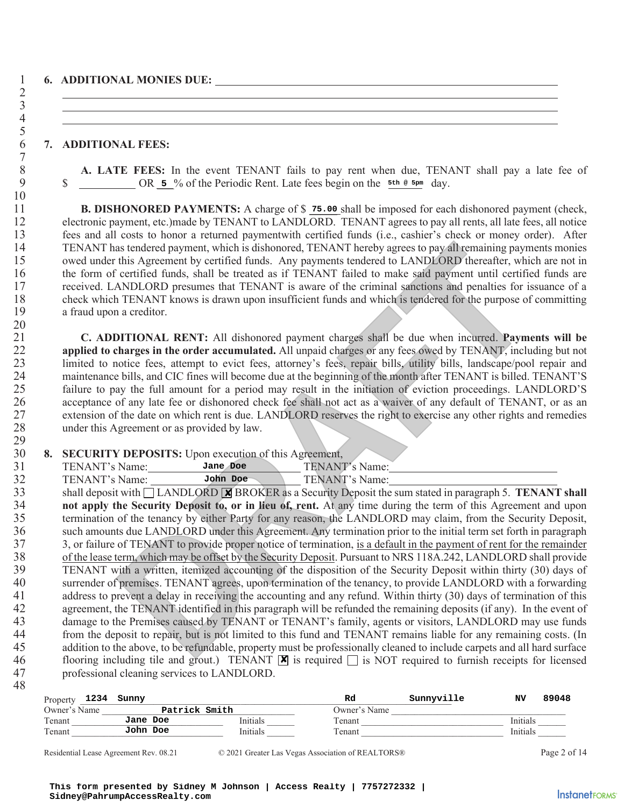### 1 **6. ADDITIONAL MONIES DUE:**

### 6 **7. ADDITIONAL FEES:**

8 **A. LATE FEES:** In the event TENANT fails to pay rent when due, TENANT shall pay a late fee of 9  $\qquad$  S OR 5 % of the Periodic Rent. Late fees begin on the  $\frac{1}{2}$  the  $\frac{1}{2}$  begin on the  $\frac{1}{2}$  begin on the  $\frac{1}{2}$  begin on the  $\frac{1}{2}$  begin on the  $\frac{1}{2}$  begin on the  $\frac{1}{2}$  begin on the  $\frac{1}{2$ 

**B. DISHONORED PAYMENTS:** A charge of \$75.00 shall be imposed for each dishonored payment (check, 12 electronic payment, etc.)made by TENANT to LANDLORD. TENANT agrees to pay all rents, all late fees, all notice 13 fees and all costs to honor a returned paymentwith certified funds (i.e., cashier's check or money order). After<br>14 TENANT has tendered navment, which is dishonored. TENANT hereby agrees to nav all remaining navments mo 14 TENANT has tendered payment, which is dishonored, TENANT hereby agrees to pay all remaining payments monies<br>15 owed under this Agreement by certified funds. Any payments tendered to LANDLORD thereafter, which are not in owed under this Agreement by certified funds. Any payments tendered to LANDLORD thereafter, which are not in 16 the form of certified funds, shall be treated as if TENANT failed to make said payment until certified funds are<br>17 received. LANDLORD presumes that TENANT is aware of the criminal sanctions and penalties for issuance o 17 received. LANDLORD presumes that TENANT is aware of the criminal sanctions and penalties for issuance of a<br>18 check which TENANT knows is drawn upon insufficient funds and which is tendered for the purpose of committing 18 check which TENANT knows is drawn upon insufficient funds and which is tendered for the purpose of committing a fraud upon a creditor. a fraud upon a creditor.

21 **C. ADDITIONAL RENT:** All dishonored payment charges shall be due when incurred. **Payments will be**  22 **applied to charges in the order accumulated.** All unpaid charges or any fees owed by TENANT, including but not 23 limited to notice fees, attempt to evict fees, attorney's fees, repair bills, utility bills, landscape/pool repair and<br>24 maintenance bills, and CIC fines will become due at the beginning of the month after TENANT is bi 24 maintenance bills, and CIC fines will become due at the beginning of the month after TENANT is billed. TENANT'S<br>25 failure to pay the full amount for a period may result in the initiation of eviction proceedings. LANDLO 25 failure to pay the full amount for a period may result in the initiation of eviction proceedings. LANDLORD'S<br>26 acceptance of any late fee or dishonored check fee shall not act as a waiver of any default of TENANT, or a 26 acceptance of any late fee or dishonored check fee shall not act as a waiver of any default of TENANT, or as an extension of the date on which rent is due. LANDLORD reserves the right to exercise any other rights and re 27 extension of the date on which rent is due. LANDLORD reserves the right to exercise any other rights and remedies<br>28 under this Agreement or as provided by law. under this Agreement or as provided by law.

# 29<br>30 30 **8. SECURITY DEPOSITS:** Upon execution of this Agreement,<br>31 **1 TENANT's Name:** Jane Doe TENANT'

31 TENANT's Name: Jane Doe TENANT's Name: 32 TENANT's Name: John Doe TENANT's Name:

**32 Shall deposit with LANDLORD BROKER** as a Security Deposit the sum stated in paragraph 5. **TENANT shall not annly the Security Deposit to. or in lieu of, rent.** At any time during the term of this Agreement and upon 34 **not apply the Security Deposit to, or in lieu of, rent.** At any time during the term of this Agreement and upon<br>35 termination of the tenancy by either Party for any reason, the LANDLORD may claim, from the Security De 35 termination of the tenancy by either Party for any reason, the LANDLORD may claim, from the Security Deposit, 36 such amounts due LANDLORD under this Agreement. Any termination prior to the initial term set forth in paragraph<br>3. or failure of TENANT to provide proper notice of termination, is a default in the payment of rent for t 37 3, or failure of TENANT to provide proper notice of termination, is a default in the payment of rent for the remainder 38 of the lease term, which may be offset by the Security Deposit. Pursuant to NRS 118A.242, LANDLORD shall provide<br>39 TENANT with a written, itemized accounting of the disposition of the Security Deposit within thirty (30 39 TENANT with a written, itemized accounting of the disposition of the Security Deposit within thirty (30) days of surrender of premises. TENANT agrees, upon termination of the tenancy, to provide LANDLORD with a forwardi 40 surrender of premises. TENANT agrees, upon termination of the tenancy, to provide LANDLORD with a forwarding<br>41 address to prevent a delay in receiving the accounting and any refund. Within thirty (30) days of terminati 41 address to prevent a delay in receiving the accounting and any refund. Within thirty (30) days of termination of this<br>42 agreement the TENANT identified in this paragraph will be refunded the remaining deposits (if any) 42 agreement, the TENANT identified in this paragraph will be refunded the remaining deposits (if any). In the event of damage to the Premises caused by TENANT or TENANT's family, agents or visitors, LANDLORD may use funds 43 damage to the Premises caused by TENANT or TENANT's family, agents or visitors, LANDLORD may use funds<br>44 from the deposit to repair, but is not limited to this fund and TENANT remains liable for any remaining costs. (I from the deposit to repair, but is not limited to this fund and TENANT remains liable for any remaining costs. (In 45 addition to the above, to be refundable, property must be professionally cleaned to include carpets and all hard surface 46 flooring including tile and grout.) TENANT  $\triangledown$  is required  $\square$  is NOT required to furnish receipts for licensed 47 professional cleaning services to LANDLORD. 48 ass lendered payment by certified funds. Any payments redeed to LANDLORD thereshy are this Agreement by external divided funds, and payments and redeed to LANDLORD presents of the effect of the energy states of the crimina **John Doe**<br> **Patrick Smith**<br> **Patrick Smith**<br> **Patrick Smith**<br> **Patrick Smith**<br> **Patrick Smith**<br> **Patrick Smith**<br> **Patrick Smith**<br> **Patrick Smith**<br> **Patrick Smith**<br> **Patrick Smith** Frame: <del>John Doe</del><br>
vith <u>□LANDLORD</u> **X** BR<br>
Be Security Deposit to, or if<br>
the tenancy by either Part<br>
due LANDLORD under this<br>
f TENANT to provide prope<br>
rm, which may be offset by t<br>
h a written, itemized accours<br>
remis **Sidney@PahrumpAccessRealty.com 5 5th @ 5pm 75.00** ✘

| 1234<br>Property | Sunny         |          | Rd           | Sunnvville | ΝV       | 89048 |
|------------------|---------------|----------|--------------|------------|----------|-------|
| Owner's Name     | Patrick Smith |          | Owner's Name |            |          |       |
| Tenant           | Jane Doe      | Initials | Tenant       |            | Initials |       |
| Fenant           | John Doe      | Initials | Tenant       |            | Initials |       |
|                  |               |          |              |            |          |       |

Residential Lease Agreement Rev. 08.21 © 2021 Greater Las Vegas Association of REALTORS® Page 2 of 14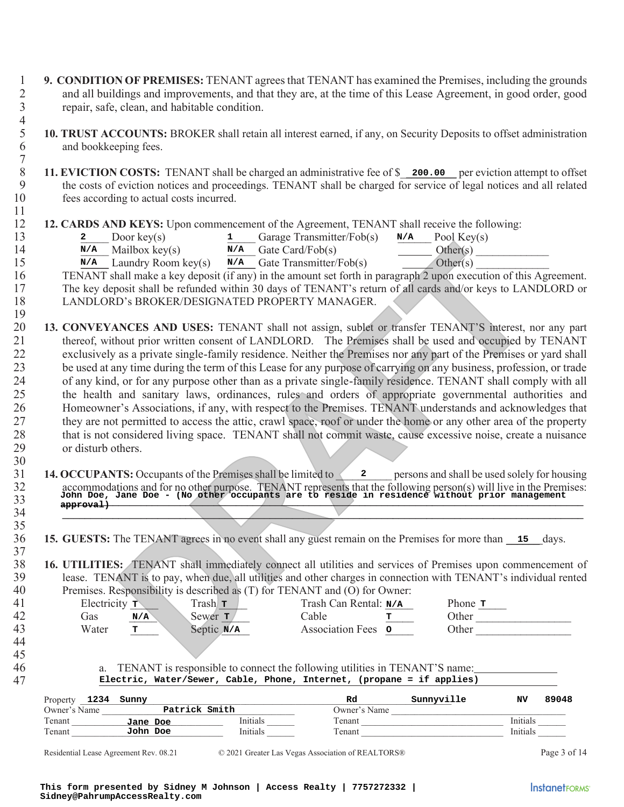- 1 **9. CONDITION OF PREMISES:** TENANT agrees that TENANT has examined the Premises, including the grounds 2 and all buildings and improvements, and that they are, at the time of this Lease Agreement, in good order, good repair, safe, clean, and habitable condition. repair, safe, clean, and habitable condition.
- $\frac{4}{5}$ 5 **10. TRUST ACCOUNTS:** BROKER shall retain all interest earned, if any, on Security Deposits to offset administration and bookkeeping fees. and bookkeeping fees.
- $\begin{array}{c} 7 \\ 8 \end{array}$ 8 **11. EVICTION COSTS:** TENANT shall be charged an administrative fee of \$\_\_\_\_\_\_\_\_\_\_\_\_\_\_\_ per eviction attempt to offset the costs of eviction notices and proceedings. TENANT shall be charged for service of legal notices a 9 the costs of eviction notices and proceedings. TENANT shall be charged for service of legal notices and all related fees according to actual costs incurred. fees according to actual costs incurred. 11
- 12 **12. CARDS AND KEYS:** Upon commencement of the Agreement, TENANT shall receive the following:<br>13 **1** Garage Transmitter/Fob(s)  $N/A$  Pool Key(s)
- 2 Door key(s)  $\qquad \qquad$  1 Garage Transmitter/Fob(s)  $N/A$  Pool Key(s) 14  $\mathbf{N/A}$  Mailbox key(s)  $\mathbf{N/A}$  Gate Card/Fob(s)  $\qquad \qquad$  Other(s) 13  $\frac{2}{N/A}$  Door key(s)  $\frac{1}{N/A}$  Garage Transmitter/Fob(s)  $\frac{N/A}{N/A}$  Pool Key(s)  $\frac{N}{N/A}$  Laundry Room key(s)  $\frac{N}{A}$  Gate Transmitter/Fob(s)  $\frac{N}{A}$  Other(s) **N/A** Gate Card/Fob(s)
	-
- 16 TENANT shall make a key deposit (if any) in the amount set forth in paragraph 2 upon execution of this Agreement. 17 The key deposit shall be refunded within 30 days of TENANT's return of all cards and/or keys to LANDLORD or<br>18 LANDLORD's BROKER/DESIGNATED PROPERTY MANAGER. LANDLORD's BROKER/DESIGNATED PROPERTY MANAGER.
- $\frac{19}{20}$ 20 **13. CONVEYANCES AND USES:** TENANT shall not assign, sublet or transfer TENANT'S interest, nor any part 21 thereof, without prior written consent of LANDLORD. The Premises shall be used and occupied by TENANT<br>22 exclusively as a private single-family residence. Neither the Premises nor any part of the Premises or vard shall 22 exclusively as a private single-family residence. Neither the Premises nor any part of the Premises or yard shall<br>23 be used at any time during the term of this Lease for any purpose of carrying on any business, profess be used at any time during the term of this Lease for any purpose of carrying on any business, profession, or trade 24 of any kind, or for any purpose other than as a private single-family residence. TENANT shall comply with all<br>25 the health and sanitary laws, ordinances, rules and orders of appropriate governmental authorities and 25 the health and sanitary laws, ordinances, rules and orders of appropriate governmental authorities and 26 Homeowner's Associations, if any, with respect to the Premises. TENANT understands and acknowledges that 27 they are not permitted to access the attic, crawl space, roof or under the home or any other area of the property 28 that is not considered living space. TENANT shall not commit waste, cause excessive noise, create a nuisance 29 or disturb others. **EXAMPLE 11** and the product recoverance of the Transmitter Folds)<br> **DRAFT** And Cate Card/Folds) *NAL* Gate Card/Folds) **DRAFT** is the control of the and the state card/Folds) *DRAFT* and the mount set form in paragrap **SI. EVICTION COSTS:** FINANT shall be elarged an administrative for 6. 200.00<br> **EXAME Shall Schemes and procedures**. TENANT shall be charged for service<br> **20. CARISS AND KEVS**: Upon commencement of the Agreement TFNANT sh
- 14. OCCUPANTS: Occupants of the Premises shall be limited to <u>2</u> persons and shall be used solely for housing<br>32 accommodations and for no other purpose. TENANT represents that the following person(s) will live in the Prem 32 accommodations and for no other purpose. TENANT represents that the following person(s) will live in the Premises: John Doe, Jane Doe - (No other occupants are to reside in residence without prior management<br>33 34 **\_\_\_\_\_\_\_\_\_\_\_\_\_\_\_\_\_\_\_\_\_\_\_\_\_\_\_\_\_\_\_\_\_\_\_\_\_\_\_\_\_\_\_\_\_\_\_\_\_\_\_\_\_\_\_\_\_\_\_\_\_\_\_\_\_\_\_\_\_\_\_\_\_\_\_\_\_\_\_\_\_\_\_\_\_\_\_\_\_\_\_\_\_ 2 approval)**
- 36 **15. GUESTS:** The TENANT agrees in no event shall any guest remain on the Premises for more than 15 days. 37
- 38 **16. UTILITIES:** TENANT shall immediately connect all utilities and services of Premises upon commencement of 39 lease. TENANT is to pay, when due, all utilities and other charges in connection with TENANT's individual rented 40 Premises. Responsibility is described as (T) for TENANT and (O) for Owner: Premises. Responsibility is described as (T) for TENANT and (O) for Owner:
- 41 Electricity  $\frac{\tau}{N/A}$  Trash  $\frac{\tau}{S}$  Trash Can Rental:  $\frac{N/A}{T}$  42 Gas 42 Gas \_\_\_\_\_ Sewer \_\_\_\_\_ Cable \_\_\_\_\_ Other \_\_\_\_\_\_\_\_\_\_\_\_\_\_\_\_\_ 41 Electricity **T**<br>
42 Gas  $\frac{N/A}{N}$  Sewer **T** Cable **T** Other **D**<br>
43 Water **T** Septic  $\frac{N/A}{N}$  Association Fees **O** Other 44 45 46 a. TENANT is responsible to connect the following utilities in TENANT'S name: Electricity **T N/A T**  $\text{Trash}$ **T** Sewer **T** Phone **T**
- 47 **Electric, Water/Sewer, Cable, Phone, Internet, (propane = if applies)**

| Property<br>1234 | Sunny         |          | Rd           | Sunnvville | NV       | 89048 |
|------------------|---------------|----------|--------------|------------|----------|-------|
| Owner's Name     | Patrick Smith |          | Owner's Name |            |          |       |
| Tenant           | Jane Doe      | Initials | Tenant       |            | Initials |       |
| Tenant           | John Doe      | Initials | Tenant       |            | Initials |       |
|                  |               |          |              |            |          |       |

30

35

Residential Lease Agreement Rev. 08.21 © 2021 Greater Las Vegas Association of REALTORS® Page 3 of 14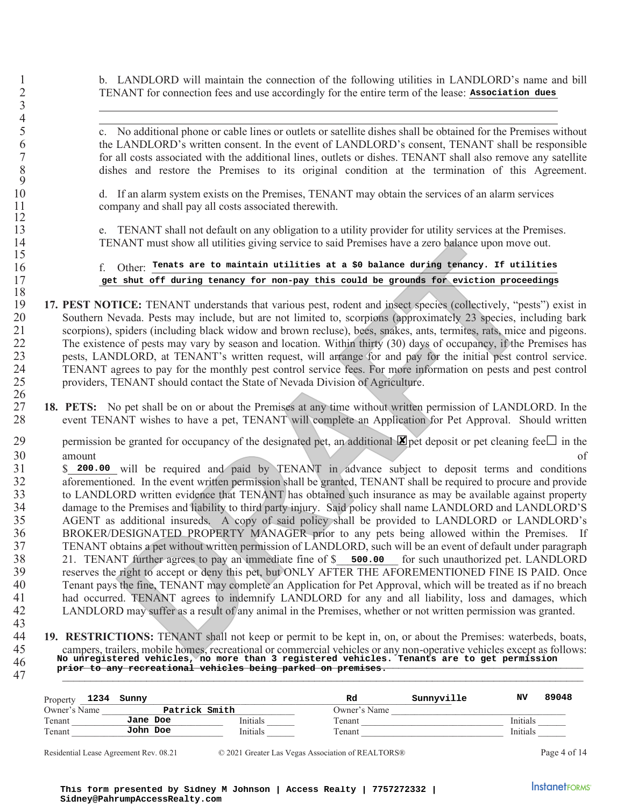43

1 b. LANDLORD will maintain the connection of the following utilities in LANDLORD's name and bill<br>2 TENANT for connection fees and use accordingly for the entire term of the lease: Association dues TENANT for connection fees and use accordingly for the entire term of the lease: Association dues

5 c. No additional phone or cable lines or outlets or satellite dishes shall be obtained for the Premises without 6 the LANDLORD's written consent. In the event of LANDLORD's consent, TENANT shall be responsible<br>6 for all costs associated with the additional lines, outlets or dishes. TENANT shall also remove any satellite 7 for all costs associated with the additional lines, outlets or dishes. TENANT shall also remove any satellite dishes and restore the Premises to its original condition at the termination of this Agreement.

d. If an alarm system exists on the Premises, TENANT may obtain the services of an alarm services 11 company and shall pay all costs associated therewith.

13 e. TENANT shall not default on any obligation to a utility provider for utility services at the Premises. 14 TENANT must show all utilities giving service to said Premises have a zero balance upon move out.

# 16 f. Other: Tenats are to maintain utilities at a \$0 balance during tenancy. If utilities

- 17. PEST NOTICE: TENANT understands that various pest, rodent and insect species (collectively, "pests") exist in 20 Southern Nevada. Pests may include, but are not limited to, scorpions (approximately 23 species, including bark<br>21 seconding back widow and brown recluse), bees, snakes, ants, termites, rats, mice and pigeons. 21 scorpions), spiders (including black widow and brown recluse), bees, snakes, ants, termites, rats, mice and pigeons.<br>22 The existence of pests may vary by season and location. Within thirty (30) days of occupancy, if th 22 The existence of pests may vary by season and location. Within thirty (30) days of occupancy, if the Premises has<br>23 nests. LANDLORD, at TENANT's written request, will arrange for and pay for the initial pest control se 23 pests, LANDLORD, at TENANT's written request, will arrange for and pay for the initial pest control service.<br>24 TENANT agrees to pay for the monthly pest control service fees. For more information on pests and pest cont 24 TENANT agrees to pay for the monthly pest control service fees. For more information on pests and pest control<br>25 providers, TENANT should contact the State of Nevada Division of Agriculture. 25 providers, TENANT should contact the State of Nevada Division of Agriculture.
- 27 **18. PETS:** No pet shall be on or about the Premises at any time without written permission of LANDLORD. In the event TENANT wishes to have a net. TENANT will complete an Application for Pet Approval. Should written event TENANT wishes to have a pet, TENANT will complete an Application for Pet Approval. Should written
- 29 permission be granted for occupancy of the designated pet, an additional  $\Xi$  pet deposit or pet cleaning fee  $\Box$  in the 30 amount of
- 31 \$ 200.00 will be required and paid by TENANT in advance subject to deposit terms and conditions 32 aforementioned. In the event written permission shall be granted, TENANT shall be required to procure and provide<br>33 to LANDLORD written evidence that TENANT has obtained such insurance as may be available against prope 33 to LANDLORD written evidence that TENANT has obtained such insurance as may be available against property<br>34 damage to the Premises and liability to third party injury. Said policy shall name LANDLORD and LANDLORD'S 34 damage to the Premises and liability to third party injury. Said policy shall name LANDLORD and LANDLORD'S<br>35 AGENT as additional insureds. A copy of said policy shall be provided to LANDLORD or LANDLORD's AGENT as additional insureds. A copy of said policy shall be provided to LANDLORD or LANDLORD's 36 BROKER/DESIGNATED PROPERTY MANAGER prior to any pets being allowed within the Premises. If 37 TENANT obtains a pet without written permission of LANDLORD, such will be an event of default under paragraph 38 21. TENANT further agrees to pay an immediate fine of \$\_\_\_\_\_\_\_\_\_\_\_\_\_\_ for such unauthorized pet. LANDLORD 39 reserves the right to accept or deny this pet, but ONLY AFTER THE AFOREMENTIONED FINE IS PAID. Once 40 Tenant pays the fine, TENANT may complete an Application for Pet Approval, which will be treated as if no breach 41 had occurred. TENANT agrees to indemnify LANDLORD for any and all liability, loss and damages, which 42 LANDLORD may suffer as a result of any animal in the Premises, whether or not written permission was granted. NANT must show all utilities giving service to said Premises have a zero bialance upon move<br>
Other: Tenats are to maintain utilities at a 30 balance during tenancy. If utilitare<br>
the for the rating tenancy for non-pay this The ANT for connection fear and use accordingly for the active term of the lanear <u>someticity due</u><br>  $\frac{1}{2}$ . Note also the connection of the control of the state of the control of the control of the control of the state
- 44 **19. RESTRICTIONS:** TENANT shall not keep or permit to be kept in, on, or about the Premises: waterbeds, boats, 45 campers, trailers, mobile homes, recreational or commercial vehicles or any non-operative vehicles except as follows: No unregistered vehicles, no more than 3 registered vehicles. Tenants are to get permission<br>
prior to any regrestional vehicles being parked on premises  $47$  prior to any recreational vehicles being parked on premises.<br>47

| 1234<br>Property | Sunny         |          | Rd           | Sunnyville | NV       | 89048 |
|------------------|---------------|----------|--------------|------------|----------|-------|
| Owner's Name     | Patrick Smith |          | Owner's Name |            |          |       |
| Tenant           | Jane Doe      | Initials | Tenant       |            | Initials |       |
| Tenant           | John Doe      | Initials | Tenant       |            | Initials |       |
|                  |               |          |              |            |          |       |

Residential Lease Agreement Rev. 08.21 © 2021 Greater Las Vegas Association of REALTORS® Page 4 of 14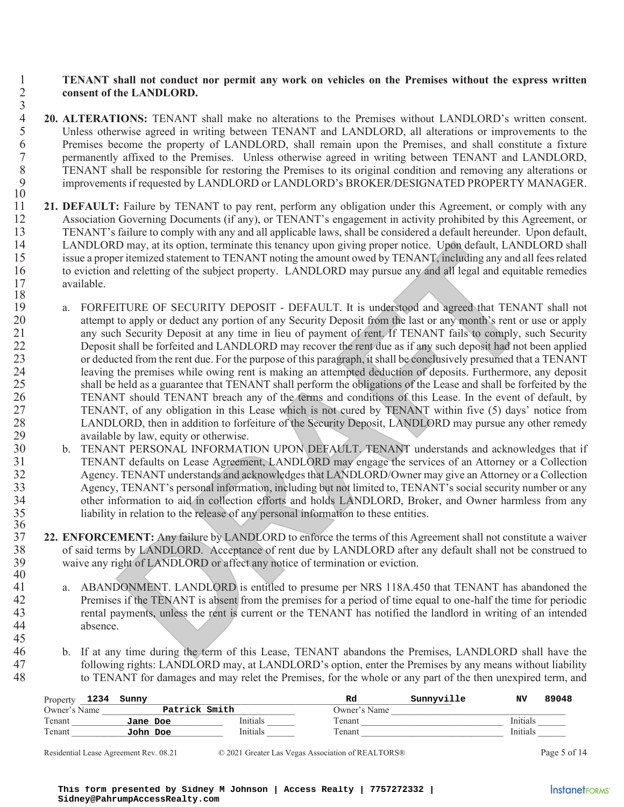### 1 **TENANT shall not conduct nor permit any work on vehicles on the Premises without the express written**  2 **consent of the LANDLORD.**

- $\frac{3}{4}$ **20. ALTERATIONS:** TENANT shall make no alterations to the Premises without LANDLORD's written consent.<br>5 Unless otherwise agreed in writing between TENANT and LANDLORD, all alterations or improvements to the Unless otherwise agreed in writing between TENANT and LANDLORD, all alterations or improvements to the 6 Premises become the property of LANDLORD, shall remain upon the Premises, and shall constitute a fixture permanently affixed to the Premises. Unless otherwise agreed in writing between TENANT and LANDLORD, 7 permanently affixed to the Premises. Unless otherwise agreed in writing between TENANT and LANDLORD,<br>8 TENANT shall be responsible for restoring the Premises to its original condition and removing any alterations or 8 TENANT shall be responsible for restoring the Premises to its original condition and removing any alterations or<br>9 improvements if requested by LANDLORD or LANDLORD's BROKER/DESIGNATED PROPERTY MANAGER. improvements if requested by LANDLORD or LANDLORD's BROKER/DESIGNATED PROPERTY MANAGER.
- $\begin{array}{c} 10 \\ 11 \end{array}$ 11 **21. DEFAULT:** Failure by TENANT to pay rent, perform any obligation under this Agreement, or comply with any Association Governing Documents (if any), or TENANT's engagement in activity prohibited by this Agreement, or 12 Association Governing Documents (if any), or TENANT's engagement in activity prohibited by this Agreement, or 13 TENANT's failure to comply with any and all applicable laws, shall be considered a default hereunder. Upon default, 14 LANDLORD may, at its option, terminate this tenancy upon giving proper notice. Upon default, LANDLORD shall<br>15 issue a proper itemized statement to TENANT noting the amount owed by TENANT, including any and all fees rel issue a proper itemized statement to TENANT noting the amount owed by TENANT, including any and all fees related 16 to eviction and reletting of the subject property. LANDLORD may pursue any and all legal and equitable remedies available. available. 18
- 19 a. FORFEITURE OF SECURITY DEPOSIT DEFAULT. It is understood and agreed that TENANT shall not attempt to apply or deduct any portion of any Security Deposit from the last or any month's rent or use or apply 20 attempt to apply or deduct any portion of any Security Deposit from the last or any month's rent or use or apply<br>21 any such Security Deposit at any time in lieu of payment of rent. If TENANT fails to comply, such Secur any such Security Deposit at any time in lieu of payment of rent. If TENANT fails to comply, such Security 22 Deposit shall be forfeited and LANDLORD may recover the rent due as if any such deposit had not been applied<br>23 cordeducted from the rent due. For the purpose of this paragraph, it shall be conclusively presumed that a 23 or deducted from the rent due. For the purpose of this paragraph, it shall be conclusively presumed that a TENANT<br>24 leaving the premises while owing rent is making an attempted deduction of deposits. Furthermore, any d 24 leaving the premises while owing rent is making an attempted deduction of deposits. Furthermore, any deposit <br>25 shall be held as a guarantee that TENANT shall perform the obligations of the Lease and shall be forfeited 25 shall be held as a guarantee that TENANT shall perform the obligations of the Lease and shall be forfeited by the 26 TENANT should TENANT breach any of the terms and conditions of this Lease. In the event of default, by<br>27 TENANT, of any obligation in this Lease which is not cured by TENANT within five (5) days' notice from 27 TENANT, of any obligation in this Lease which is not cured by TENANT within five (5) days' notice from 28 LANDLORD, then in addition to forfeiture of the Security Deposit, LANDLORD may pursue any other remedy 29 available by law, equity or otherwise.<br>30 b. TENANT PERSONAL INFORMAT ID may, at its option, terminate this tenancy upon giving proper notice. Upon default, LAND<br>
In erit eimized statement to TENANT noting the amount owed by TENANT, including any and all<br>
and relating of the subject property
- 30 b. TENANT PERSONAL INFORMATION UPON DEFAULT. TENANT understands and acknowledges that if TENANT defaults on Lease Agreement, LANDLORD may engage the services of an Attorney or a Collection 31 TENANT defaults on Lease Agreement, LANDLORD may engage the services of an Attorney or a Collection<br>32 Agency. TENANT understands and acknowledges that LANDLORD/Owner may give an Attorney or a Collection 32 Agency. TENANT understands and acknowledges that LANDLORD/Owner may give an Attorney or a Collection<br>33 Agency. TENANT's personal information, including but not limited to, TENANT's social security number or any Agency, TENANT's personal information, including but not limited to, TENANT's social security number or any 34 other information to aid in collection efforts and holds LANDLORD, Broker, and Owner harmless from any liability in relation to the release of any personal information to these entities. liability in relation to the release of any personal information to these entities.
- $\frac{36}{37}$ **22. ENFORCEMENT:** Any failure by LANDLORD to enforce the terms of this Agreement shall not constitute a waiver of said terms by LANDLORD. Acceptance of rent due by LANDLORD after any default shall not be construed to 38 of said terms by LANDLORD. Acceptance of rent due by LANDLORD after any default shall not be construed to<br>39 waive any right of LANDLORD or affect any notice of termination or eviction waive any right of LANDLORD or affect any notice of termination or eviction. 40
- 41 a. ABANDONMENT. LANDLORD is entitled to presume per NRS 118A.450 that TENANT has abandoned the Premises if the TENANT is absent from the premises for a period of time equal to one-half the time for periodic 42 Premises if the TENANT is absent from the premises for a period of time equal to one-half the time for periodic<br>43 extends unless the rent is current or the TENANT has notified the landlord in writing of an intended 43 rental payments, unless the rent is current or the TENANT has notified the landlord in writing of an intended 44 absence.
- 46 b. If at any time during the term of this Lease, TENANT abandons the Premises, LANDLORD shall have the 47 following rights: LANDLORD may, at LANDLORD's option, enter the Premises by any means without liability 48 to TENANT for damages and may relet the Premises, for the whole or any part of the then unexpired term, and

| 1234<br>Property | Sunny         |          | Rd           | Sunnyville | NV       | 89048 |
|------------------|---------------|----------|--------------|------------|----------|-------|
| Owner's Name     | Patrick Smith |          | Owner's Name |            |          |       |
| Tenant           | Jane Doe      | Initials | Tenant       |            | Initials |       |
| Tenant           | John Doe      | Initials | Tenant       |            | Initials |       |
|                  |               |          |              |            |          |       |

45

Residential Lease Agreement Rev. 08.21 © 2021 Greater Las Vegas Association of REALTORS® Page 5 of 14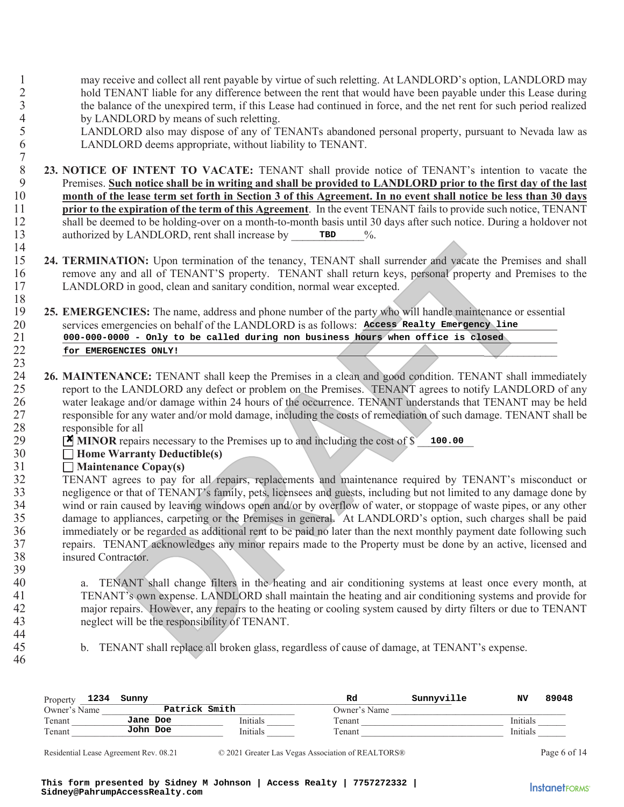1 may receive and collect all rent payable by virtue of such reletting. At LANDLORD's option, LANDLORD may<br>2 hold TENANT liable for any difference between the rent that would have been payable under this Lease during 2 hold TENANT liable for any difference between the rent that would have been payable under this Lease during<br>3 the balance of the unexpired term, if this Lease had continued in force, and the net rent for such period real 3 the balance of the unexpired term, if this Lease had continued in force, and the net rent for such period realized<br>4 by LANDLORD by means of such reletting. 4 by LANDLORD by means of such reletting.<br>5 LANDLORD also may dispose of any of T.

LANDLORD also may dispose of any of TENANTs abandoned personal property, pursuant to Nevada law as 6 LANDLORD deems appropriate, without liability to TENANT.

 $7 \over 8$ 23. NOTICE OF INTENT TO VACATE: TENANT shall provide notice of TENANT's intention to vacate the<br>Premises. Such notice shall be in writing and shall be provided to LANDLORD prior to the first day of the last Premises. **Such notice shall be in writing and shall be provided to LANDLORD prior to the first day of the last**  $10$  month of the lease term set forth in Section 3 of this Agreement. In no event shall notice be less than 10 **month of the lease term set forth in Section 3 of this Agreement. In no event shall notice be less than 30 days properties properties properties properties properties properties properties properties prior to the expiration of the term of this Agreement**. In the event TENANT fails to provide such notice, TENANT 12 shall be deemed to be holding-over on a month-to-month basis until 30 days after such notice. During a holdover not 13 authorized by LANDLORD, rent shall increase by TBD  $\%$ .

- $\frac{14}{15}$ 24. **TERMINATION:** Upon termination of the tenancy, TENANT shall surrender and vacate the Premises and shall 16 remove any and all of TENANT'S property. TENANT shall return keys, personal property and Premises to the LANDLORD in good, clean and sanitary condition, normal wear excepted. LANDLORD in good, clean and sanitary condition, normal wear excepted.
- 18 19 **25. EMERGENCIES:** The name, address and phone number of the party who will handle maintenance or essential 20 services emergencies on behalf of the LANDLORD is as follows: Access Realty Emergency line<br>21 000-000-0000 - Only to be called during non business hours when office is closed 21
- 22 for EMERGENCIES ONLY!
- $\frac{23}{24}$ 26. MAINTENANCE: TENANT shall keep the Premises in a clean and good condition. TENANT shall immediately<br>25 report to the LANDLORD any defect or problem on the Premises. TENANT agrees to notify LANDLORD of any 25 report to the LANDLORD any defect or problem on the Premises. TENANT agrees to notify LANDLORD of any<br>26 water leakage and/or damage within 24 hours of the occurrence. TENANT understands that TENANT may be held 26 water leakage and/or damage within 24 hours of the occurrence. TENANT understands that TENANT may be held<br>27 esponsible for any water and/or mold damage, including the costs of remediation of such damage. TENANT shall b 27 responsible for any water and/or mold damage, including the costs of remediation of such damage. TENANT shall be<br>28 responsible for all 28 responsible for all<br>29 **X** MINOR repair
- 29 **MINOR** repairs necessary to the Premises up to and including the cost of  $\frac{\sqrt{2}}{2}$  100.00<br>30 **Home Warranty Deductible(s)**
- 30 **Home Warranty Deductible(s)**<br>31 **Home Conduction** 
	- 31 **Maintenance Copay(s)**

32 TENANT agrees to pay for all repairs, replacements and maintenance required by TENANT's misconduct or<br>33 negligence or that of TENANT's family, pets, licensees and guests, including but not limited to any damage done by 33 negligence or that of TENANT's family, pets, licensees and guests, including but not limited to any damage done by<br>34 wind or rain caused by leaving windows open and/or by overflow of water, or stoppage of waste pipes, 34 wind or rain caused by leaving windows open and/or by overflow of water, or stoppage of waste pipes, or any other<br>35 damage to appliances, carpeting or the Premises in general. At LANDLORD's option, such charges shall b damage to appliances, carpeting or the Premises in general. At LANDLORD's option, such charges shall be paid 36 immediately or be regarded as additional rent to be paid no later than the next monthly payment date following such repairs. TENANT acknowledges any minor repairs made to the Property must be done by an active, licensed repairs. TENANT acknowledges any minor repairs made to the Property must be done by an active, licensed and 38 insured Contractor. **TION:** Upon termination of the tenancy, TENANT shall surrender and vacate the Premis<br>
and all of TENANT's property. TENANT shall return keys, personal property and Premis<br>
D in good, clean and sanitary condition, normal w **SIMPACT AND CRUS** (and increase by <u>the called during condition and the called during the called during the called during the called during the state of the called during the called during the state and some during the ca</u>

40 a. TENANT shall change filters in the heating and air conditioning systems at least once every month, at <br>41 TENANT's own expense LANDLORD shall maintain the heating and air conditioning systems and provide for 41 TENANT's own expense. LANDLORD shall maintain the heating and air conditioning systems and provide for<br>42 TENANT maior repairs. However, any repairs to the heating or cooling system caused by dirty filters or due to TEN major repairs. However, any repairs to the heating or cooling system caused by dirty filters or due to TENANT 43 neglect will be the responsibility of TENANT.

- 45 b. TENANT shall replace all broken glass, regardless of cause of damage, at TENANT's expense.
- 46

44

39

Property 1234 Sunny **1234 Sunny 1234 Sunny 12** Owner's Name **Patrick Smith** Dwner's Name **Department Communist Communist Communist Communist Communist Communist Communist Communist Communist Communist Communist Communist Communist Communist Communist Communist Communis** Tenant **Jane Doe Example 1 and State of Limitials Limitials Limitials Limitials Limitials Limitials Limitials Limitials Limitials Limitials Limitials Limitials Limitials Limitials Limitials Limitials Limitials Limitials** Tenant **John Doe Initials Tenant Initials in the Unit of School School of Tenant Initials in the Unit of School School School School School School School School School School School School School School School School Sch Rd Sunnyville NV 89048 Jane Doe John Doe**

Residential Lease Agreement Rev. 08.21 © 2021 Greater Las Vegas Association of REALTORS® Page 6 of 14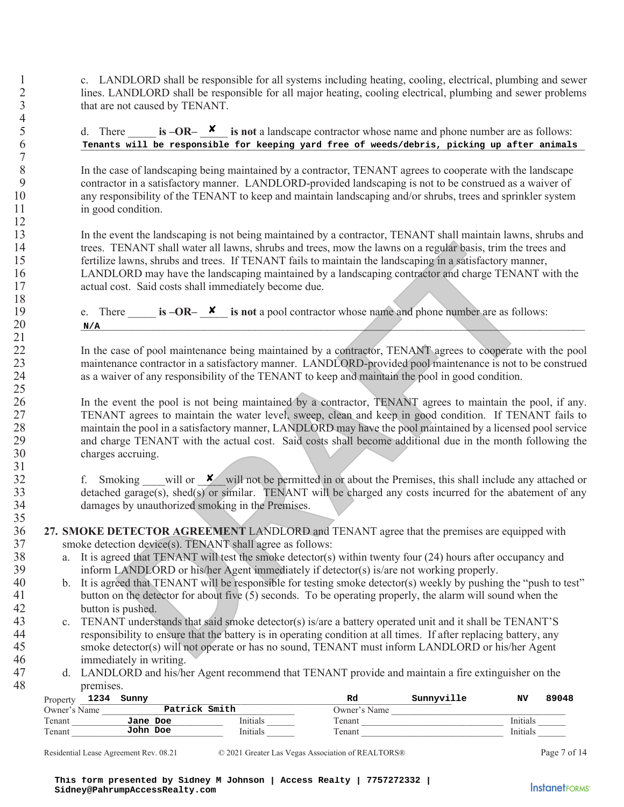1 c. LANDLORD shall be responsible for all systems including heating, cooling, electrical, plumbing and sewer<br>2 lines LANDLORD shall be responsible for all major heating cooling electrical, plumbing and sewer problems 2 lines. LANDLORD shall be responsible for all major heating, cooling electrical, plumbing and sewer problems that are not caused by TENANT. that are not caused by TENANT.

d. There  $\bf{is}$  **is**  $\bf{OR}$   $\bf{X}$  is not a landscape contractor whose name and phone number are as follows:  $6$   $\hspace{1cm}$  Tenants will be responsible for keeping yard free of weeds/debris, picking up after animals

8 In the case of landscaping being maintained by a contractor, TENANT agrees to cooperate with the landscape 9 contractor in a satisfactory manner. LANDLORD-provided landscaping is not to be construed as a waiver of any responsibility of the TENANT to keep and maintain landscaping and/or shrubs, trees and sprinkler system any responsibility of the TENANT to keep and maintain landscaping and/or shrubs, trees and sprinkler system 11 in good condition.

In the event the landscaping is not being maintained by a contractor, TENANT shall maintain lawns, shrubs and trees. TENANT shall water all lawns, shrubs and trees, mow the lawns on a regular basis, trim the trees and fertilize lawns, shrubs and trees. If TENANT fails to maintain the landscaping in a satisfactory manner, LANDLORD may have the landscaping maintained by a landscaping contractor and charge TENANT with the actual cost. Said costs shall immediately become due.

19 e. There **is -OR-**  $\frac{\times}{\text{}}$  is not a pool contractor whose name and phone number are as follows: 20  $_{N/A}$ **N/A**

22 In the case of pool maintenance being maintained by a contractor, TENANT agrees to cooperate with the pool 23 maintenance contractor in a satisfactory manner. LANDLORD-provided pool maintenance is not to be construed 24 as a waiver of any responsibility of the TENANT to keep and maintain the pool in good condition.

26 In the event the pool is not being maintained by a contractor, TENANT agrees to maintain the pool, if any.<br>27 TENANT agrees to maintain the water level, sweep, clean and keep in good condition. If TENANT fails to TENANT agrees to maintain the water level, sweep, clean and keep in good condition. If TENANT fails to 28 maintain the pool in a satisfactory manner, LANDLORD may have the pool maintained by a licensed pool service 29 and charge TENANT with the actual cost. Said costs shall become additional due in the month following the charges accruing. charges accruing. **ENANT** shall water all lawns, shrubs and trees, mow the lawns on a regular basis, trim the transmistable water all lawns, shrubs and trees, mow the lawns on a regular basis, trim the transmistable to lawns a hrease if TEN d. There <u>is -OR-<br> **Show** Trenants will be responsited by exergence in a satisfactory many responsibility of the TEN, in good condition.</u><br>
In the event the landscaping bein contractor in a satisfactory many responsibility

32 f. Smoking will or **X** will not be permitted in or about the Premises, this shall include any attached or 33 detached garage(s), shed(s) or similar. TENANT will be charged any costs incurred for the abatement of any damages by unauthorized smoking in the Premises. damages by unauthorized smoking in the Premises.

- **27. SMOKE DETECTOR AGREEMENT** LANDLORD and TENANT agree that the premises are equipped with smoke detection device(s). TENANT shall agree as follows: smoke detection device(s). TENANT shall agree as follows:
- 38 a. It is agreed that TENANT will test the smoke detector(s) within twenty four (24) hours after occupancy and inform LANDLORD or his/her Agent immediately if detector(s) is/are not working properly. 39 inform LANDLORD or his/her Agent immediately if detector(s) is/are not working properly.<br>40 b. It is agreed that TENANT will be responsible for testing smoke detector(s) weekly by pushing
- 40 b. It is agreed that TENANT will be responsible for testing smoke detector(s) weekly by pushing the "push to test"<br>41 button on the detector for about five (5) seconds. To be operating properly, the alarm will sound whe button on the detector for about five (5) seconds. To be operating properly, the alarm will sound when the 42 button is pushed.
- 43 c. TENANT understands that said smoke detector(s) is/are a battery operated unit and it shall be TENANT'S responsibility to ensure that the battery is in operating condition at all times. If after replacing battery, any responsibility to ensure that the battery is in operating condition at all times. If after replacing battery, any 45 smoke detector(s) will not operate or has no sound, TENANT must inform LANDLORD or his/her Agent 46 immediately in writing.
- 47 d. LANDLORD and his/her Agent recommend that TENANT provide and maintain a fire extinguisher on the 48 premises.

| 1234<br>Property | Sunny         |          | Rd           | Sunnyville | <b>NV</b> | 89048 |
|------------------|---------------|----------|--------------|------------|-----------|-------|
| Owner's Name     | Patrick Smith |          | Owner's Name |            |           |       |
| Tenant           | Jane Doe      | Initials | Tenant       |            | Initials  |       |
| Tenant           | John Doe      | Initials | Tenant       |            | Initials  |       |

 $\frac{4}{5}$ 

7

12

 $\frac{18}{19}$ 

21

25

31

35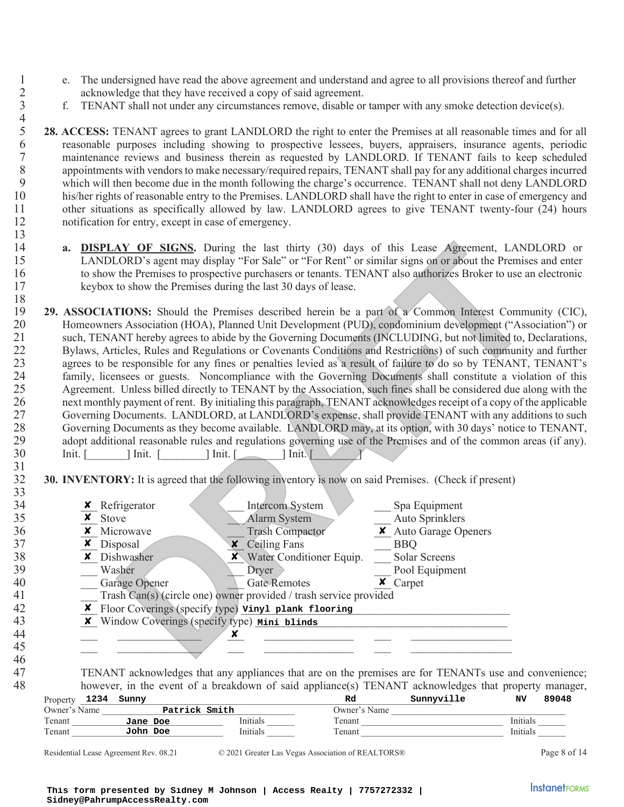- 1 e. The undersigned have read the above agreement and understand and agree to all provisions thereof and further acknowledge that they have received a conv of said agreement. 2 acknowledge that they have received a copy of said agreement.<br>3 f. TENANT shall not under any circumstances remove, disable or
	- 3 f. TENANT shall not under any circumstances remove, disable or tamper with any smoke detection device(s).

5 **28. ACCESS:** TENANT agrees to grant LANDLORD the right to enter the Premises at all reasonable times and for all 6 reasonable purposes including showing to prospective lessees, buyers, appraisers, insurance agents, periodic 7 maintenance reviews and business therein as requested by LANDLORD. If TENANT fails to keep scheduled<br>8 appointments with vendors to make necessary/required repairs, TENANT shall pay for any additional charges incurred 8 appointments with vendors to make necessary/required repairs, TENANT shall pay for any additional charges incurred<br>9 which will then become due in the month following the charge's occurrence. TENANT shall not deny LANDLO 9 which will then become due in the month following the charge's occurrence. TENANT shall not deny LANDLORD<br>10 his/her rights of reasonable entry to the Premises. LANDLORD shall have the right to enter in case of emergency 10 his/her rights of reasonable entry to the Premises. LANDLORD shall have the right to enter in case of emergency and other situations as specifically allowed by law. LANDLORD agrees to give TENANT twenty-four (24) hours 11 other situations as specifically allowed by law. LANDLORD agrees to give TENANT twenty-four (24) hours 12 notification for entry, except in case of emergency.

- 14 **a. DISPLAY OF SIGNS.** During the last thirty (30) days of this Lease Agreement, LANDLORD or LANDLORD's agent may display "For Sale" or "For Rent" or similar signs on or about the Premises and enter LANDLORD's agent may display "For Sale" or "For Rent" or similar signs on or about the Premises and enter 16 to show the Premises to prospective purchasers or tenants. TENANT also authorizes Broker to use an electronic<br>17 keybox to show the Premises during the last 30 days of lease. keybox to show the Premises during the last 30 days of lease.
- 18 19 **29. ASSOCIATIONS:** Should the Premises described herein be a part of a Common Interest Community (CIC), 20 Homeowners Association (HOA), Planned Unit Development (PUD), condominium development ("Association") or<br>21 such, TENANT hereby agrees to abide by the Governing Documents (INCLUDING, but not limited to, Declarations, such, TENANT hereby agrees to abide by the Governing Documents (INCLUDING, but not limited to, Declarations, 22 Bylaws, Articles, Rules and Regulations or Covenants Conditions and Restrictions) of such community and further 23 agrees to be responsible for any fines or penalties levied as a result of failure to do so by TENANT, TENANT's<br>24 family, licensees or guests. Noncompliance with the Governing Documents shall constitute a violation of t 24 family, licensees or guests. Noncompliance with the Governing Documents shall constitute a violation of this<br>25 Agreement. Unless billed directly to TENANT by the Association, such fines shall be considered due along wi 25 Agreement. Unless billed directly to TENANT by the Association, such fines shall be considered due along with the next monthly payment of rent. By initialing this paragraph. TENANT acknowledges receipt of a copy of the 26 next monthly payment of rent. By initialing this paragraph, TENANT acknowledges receipt of a copy of the applicable<br>27 Governing Documents. LANDLORD, at LANDLORD's expense, shall provide TENANT with any additions to suc 27 Governing Documents. LANDLORD, at LANDLORD's expense, shall provide TENANT with any additions to such<br>28 Governing Documents as they become available. LANDLORD may, at its option, with 30 days' notice to TENANT. 28 Governing Documents as they become available. LANDLORD may, at its option, with 30 days' notice to TENANT,<br>29 adopt additional reasonable rules and regulations governing use of the Premises and of the common areas (if a 29 adopt additional reasonable rules and regulations governing use of the Premises and of the common areas (if any).<br>30 Init. [11] Init. [11] Init. [11] Init. [11] Init. [11] Init. [11] Init. [11] Init. [11] Init. [11] Ini  $1 \text{init.}$   $\begin{bmatrix} \text{init.} \\ \text{init.} \end{bmatrix}$   $\begin{bmatrix} \text{init.} \\ \text{init.} \end{bmatrix}$ 31
- 32 **30. INVENTORY:** It is agreed that the following inventory is now on said Premises. (Check if present) 33<br>34

|                  | keybox to show the Premises during the last 30 days of lease.     |                                   |    | DISPLAY OF SIGNS. During the last thirty (30) days of this Lease Agreement, LANDLORD or<br>LANDLORD's agent may display "For Sale" or "For Rent" or similar signs on or about the Premises and enter<br>to show the Premises to prospective purchasers or tenants. TENANT also authorizes Broker to use an electronic                                                                                                                                                                                                                                                                                                                                                                                                                                                                                                                                                                                                                                                                                                                                                                                                                                                                                                                                                           |                      |
|------------------|-------------------------------------------------------------------|-----------------------------------|----|---------------------------------------------------------------------------------------------------------------------------------------------------------------------------------------------------------------------------------------------------------------------------------------------------------------------------------------------------------------------------------------------------------------------------------------------------------------------------------------------------------------------------------------------------------------------------------------------------------------------------------------------------------------------------------------------------------------------------------------------------------------------------------------------------------------------------------------------------------------------------------------------------------------------------------------------------------------------------------------------------------------------------------------------------------------------------------------------------------------------------------------------------------------------------------------------------------------------------------------------------------------------------------|----------------------|
|                  | $Init.$ $]Init.$ $]Init.$ $]Init.$ $]$ $]Init.$ $]$               |                                   |    | 29. ASSOCIATIONS: Should the Premises described herein be a part of a Common Interest Community (CIC),<br>Homeowners Association (HOA), Planned Unit Development (PUD), condominium development ("Association") or<br>such, TENANT hereby agrees to abide by the Governing Documents (INCLUDING, but not limited to, Declarations,<br>Bylaws, Articles, Rules and Regulations or Covenants Conditions and Restrictions) of such community and further<br>agrees to be responsible for any fines or penalties levied as a result of failure to do so by TENANT, TENANT's<br>family, licensees or guests. Noncompliance with the Governing Documents shall constitute a violation of this<br>Agreement. Unless billed directly to TENANT by the Association, such fines shall be considered due along with the<br>next monthly payment of rent. By initialing this paragraph, TENANT acknowledges receipt of a copy of the applicable<br>Governing Documents. LANDLORD, at LANDLORD's expense, shall provide TENANT with any additions to such<br>Governing Documents as they become available. LANDLORD may, at its option, with 30 days' notice to TENANT,<br>adopt additional reasonable rules and regulations governing use of the Premises and of the common areas (if any). |                      |
|                  |                                                                   |                                   |    | 30. INVENTORY: It is agreed that the following inventory is now on said Premises. (Check if present)                                                                                                                                                                                                                                                                                                                                                                                                                                                                                                                                                                                                                                                                                                                                                                                                                                                                                                                                                                                                                                                                                                                                                                            |                      |
|                  |                                                                   |                                   |    |                                                                                                                                                                                                                                                                                                                                                                                                                                                                                                                                                                                                                                                                                                                                                                                                                                                                                                                                                                                                                                                                                                                                                                                                                                                                                 |                      |
|                  | <b>x</b> Refrigerator                                             | <b>Intercom System</b>            |    | Spa Equipment                                                                                                                                                                                                                                                                                                                                                                                                                                                                                                                                                                                                                                                                                                                                                                                                                                                                                                                                                                                                                                                                                                                                                                                                                                                                   |                      |
|                  | <b>x</b> Stove                                                    | Alarm System                      |    | Auto Sprinklers                                                                                                                                                                                                                                                                                                                                                                                                                                                                                                                                                                                                                                                                                                                                                                                                                                                                                                                                                                                                                                                                                                                                                                                                                                                                 |                      |
|                  | <b>x</b> Microwave                                                | <b>Trash Compactor</b>            |    | X Auto Garage Openers                                                                                                                                                                                                                                                                                                                                                                                                                                                                                                                                                                                                                                                                                                                                                                                                                                                                                                                                                                                                                                                                                                                                                                                                                                                           |                      |
|                  | $\times$ Disposal                                                 | <b>x</b> Ceiling Fans             |    | <b>BBQ</b>                                                                                                                                                                                                                                                                                                                                                                                                                                                                                                                                                                                                                                                                                                                                                                                                                                                                                                                                                                                                                                                                                                                                                                                                                                                                      |                      |
|                  | <b>x</b> Dishwasher                                               | <b>x</b> Water Conditioner Equip. |    | Solar Screens                                                                                                                                                                                                                                                                                                                                                                                                                                                                                                                                                                                                                                                                                                                                                                                                                                                                                                                                                                                                                                                                                                                                                                                                                                                                   |                      |
|                  | Washer                                                            | Dryer                             |    | Pool Equipment                                                                                                                                                                                                                                                                                                                                                                                                                                                                                                                                                                                                                                                                                                                                                                                                                                                                                                                                                                                                                                                                                                                                                                                                                                                                  |                      |
|                  | Garage Opener                                                     | <b>Gate Remotes</b>               |    | $\boldsymbol{\mathsf{X}}$ Carpet                                                                                                                                                                                                                                                                                                                                                                                                                                                                                                                                                                                                                                                                                                                                                                                                                                                                                                                                                                                                                                                                                                                                                                                                                                                |                      |
|                  | Trash Can(s) (circle one) owner provided / trash service provided |                                   |    |                                                                                                                                                                                                                                                                                                                                                                                                                                                                                                                                                                                                                                                                                                                                                                                                                                                                                                                                                                                                                                                                                                                                                                                                                                                                                 |                      |
|                  | X Floor Coverings (specify type) vinyl plank flooring             |                                   |    |                                                                                                                                                                                                                                                                                                                                                                                                                                                                                                                                                                                                                                                                                                                                                                                                                                                                                                                                                                                                                                                                                                                                                                                                                                                                                 |                      |
|                  | X Window Coverings (specify type) Mini blinds                     |                                   |    |                                                                                                                                                                                                                                                                                                                                                                                                                                                                                                                                                                                                                                                                                                                                                                                                                                                                                                                                                                                                                                                                                                                                                                                                                                                                                 |                      |
|                  |                                                                   | x                                 |    |                                                                                                                                                                                                                                                                                                                                                                                                                                                                                                                                                                                                                                                                                                                                                                                                                                                                                                                                                                                                                                                                                                                                                                                                                                                                                 |                      |
|                  |                                                                   |                                   |    |                                                                                                                                                                                                                                                                                                                                                                                                                                                                                                                                                                                                                                                                                                                                                                                                                                                                                                                                                                                                                                                                                                                                                                                                                                                                                 |                      |
|                  |                                                                   |                                   |    |                                                                                                                                                                                                                                                                                                                                                                                                                                                                                                                                                                                                                                                                                                                                                                                                                                                                                                                                                                                                                                                                                                                                                                                                                                                                                 |                      |
|                  |                                                                   |                                   |    | TENANT acknowledges that any appliances that are on the premises are for TENANTs use and convenience;<br>however, in the event of a breakdown of said appliance(s) TENANT acknowledges that property manager,                                                                                                                                                                                                                                                                                                                                                                                                                                                                                                                                                                                                                                                                                                                                                                                                                                                                                                                                                                                                                                                                   |                      |
|                  |                                                                   |                                   |    | Sunnyville                                                                                                                                                                                                                                                                                                                                                                                                                                                                                                                                                                                                                                                                                                                                                                                                                                                                                                                                                                                                                                                                                                                                                                                                                                                                      | NV<br>89048          |
|                  |                                                                   |                                   | Rd |                                                                                                                                                                                                                                                                                                                                                                                                                                                                                                                                                                                                                                                                                                                                                                                                                                                                                                                                                                                                                                                                                                                                                                                                                                                                                 |                      |
|                  | Property 1234 Sunny                                               |                                   |    |                                                                                                                                                                                                                                                                                                                                                                                                                                                                                                                                                                                                                                                                                                                                                                                                                                                                                                                                                                                                                                                                                                                                                                                                                                                                                 |                      |
| Owner's Name     | Patrick Smith                                                     |                                   |    | Owner's Name                                                                                                                                                                                                                                                                                                                                                                                                                                                                                                                                                                                                                                                                                                                                                                                                                                                                                                                                                                                                                                                                                                                                                                                                                                                                    |                      |
| Tenant<br>Tenant | Jane_Doe<br>John Doe                                              | Initials<br>Initials              |    | Tenant<br>Tenant Tenant and Tenant                                                                                                                                                                                                                                                                                                                                                                                                                                                                                                                                                                                                                                                                                                                                                                                                                                                                                                                                                                                                                                                                                                                                                                                                                                              | Initials<br>Initials |

| $\sum_{i=1}^{n}$<br>יי |    | لسد<br>. |           |  |
|------------------------|----|----------|-----------|--|
| $\sim$<br>enan         | w  |          | . enar    |  |
| $\sim$<br>l enant      | Юe |          | –<br>enar |  |
|                        |    |          |           |  |

 $\frac{4}{5}$ 

13

46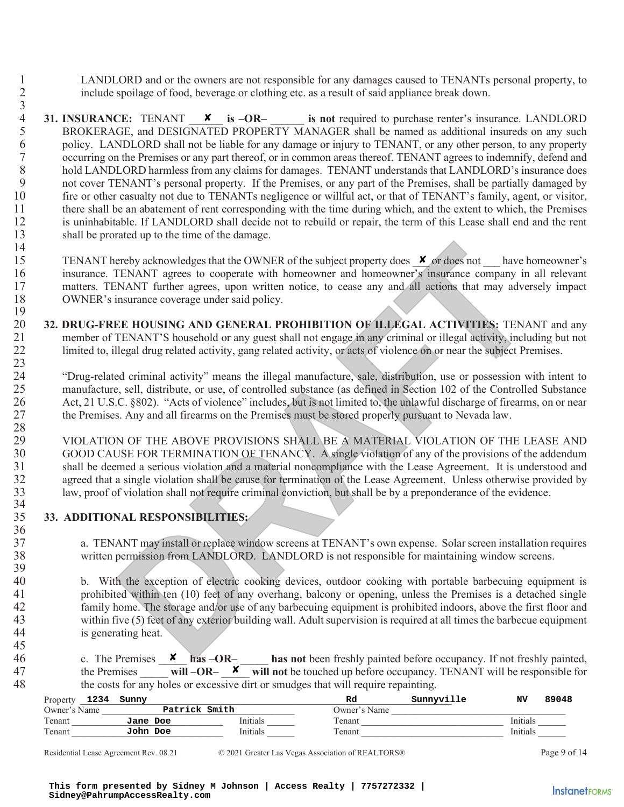- 1 LANDLORD and or the owners are not responsible for any damages caused to TENANTs personal property, to<br>2 include spoilage of food beverage or clothing etc. as a result of said appliance break down. include spoilage of food, beverage or clothing etc. as a result of said appliance break down.
- $\frac{3}{4}$ **31. INSURANCE:** TENANT  $\times$  is  $-OR$  is not required to purchase renter's insurance. LANDLORD<br>**BROKERAGE, and DESIGNATED PROPERTY MANAGER shall be named as additional insureds on any such** 5 BROKERAGE, and DESIGNATED PROPERTY MANAGER shall be named as additional insureds on any such 6 policy. LANDLORD shall not be liable for any damage or injury to TENANT, or any other person, to any property<br>7 occurring on the Premises or any part thereof, or in common areas thereof. TENANT agrees to indemnify, defen 7 occurring on the Premises or any part thereof, or in common areas thereof. TENANT agrees to indemnify, defend and<br>8 hold LANDLORD harmless from any claims for damages. TENANT understands that LANDLORD's insurance does hold LANDLORD harmless from any claims for damages. TENANT understands that LANDLORD's insurance does 9 not cover TENANT's personal property. If the Premises, or any part of the Premises, shall be partially damaged by<br>10 fire or other casualty not due to TENANTs negligence or willful act, or that of TENANT's family, agent, 10 fire or other casualty not due to TENANTs negligence or willful act, or that of TENANT's family, agent, or visitor,<br>11 there shall be an abatement of rent corresponding with the time during which, and the extent to whic there shall be an abatement of rent corresponding with the time during which, and the extent to which, the Premises 12 is uninhabitable. If LANDLORD shall decide not to rebuild or repair, the term of this Lease shall end and the rent 13 shall be prorated up to the time of the damage. **I. INSURANCE:** TENANT **SROKERAGE,** and DESIGNAT policy. LANDLORD shall not becoming on the Premises or any hold LANDLORD harmless from to cover TENANT's personal point of there shall be an abatement of the similar bitable
- $\frac{14}{15}$ 15 TENANT hereby acknowledges that the OWNER of the subject property does **x** or does not have homeowner's 16 insurance. TENANT agrees to cooperate with homeowner and homeowner's insurance company in all relevant matters. TENANT further agrees, upon written notice, to cease any and all actions that may adversely impact 17 matters. TENANT further agrees, upon written notice, to cease any and all actions that may adversely impact 18 OWNER's insurance coverage under said policy. OWNER's insurance coverage under said policy. 19
- 20 **32. DRUG-FREE HOUSING AND GENERAL PROHIBITION OF ILLEGAL ACTIVITIES:** TENANT and any member of TENANT'S household or any guest shall not engage in any criminal or illegal activity, including but not member of TENANT'S household or any guest shall not engage in any criminal or illegal activity, including but not 22 limited to, illegal drug related activity, gang related activity, or acts of violence on or near the subject Premises.
- $\frac{23}{24}$ <sup>24</sup> "Drug-related criminal activity" means the illegal manufacture, sale, distribution, use or possession with intent to<br><sup>25</sup> manufacture, sell, distribute, or use, of controlled substance (as defined in Section 102 of th 25 manufacture, sell, distribute, or use, of controlled substance (as defined in Section 102 of the Controlled Substance<br>26 Act. 21 U.S.C. 8802). "Acts of violence" includes, but is not limited to, the unlawful discharge o 26 Act, 21 U.S.C. §802). "Acts of violence" includes, but is not limited to, the unlawful discharge of firearms, on or near<br>27 the Premises. Any and all firearms on the Premises must be stored properly pursuant to Nevada l the Premises. Any and all firearms on the Premises must be stored properly pursuant to Nevada law.
- 28 29 VIOLATION OF THE ABOVE PROVISIONS SHALL BE A MATERIAL VIOLATION OF THE LEASE AND<br>30 GOOD CAUSE FOR TERMINATION OF TENANCY. A single violation of any of the provisions of the addendum 30 GOOD CAUSE FOR TERMINATION OF TENANCY. A single violation of any of the provisions of the addendum<br>31 shall be deemed a serious violation and a material noncompliance with the Lease Agreement. It is understood and shall be deemed a serious violation and a material noncompliance with the Lease Agreement. It is understood and 32 agreed that a single violation shall be cause for termination of the Lease Agreement. Unless otherwise provided by<br>33 law, proof of violation shall not require criminal conviction, but shall be by a preponderance of the law, proof of violation shall not require criminal conviction, but shall be by a preponderance of the evidence. eneby acknowledges that the OWNER of the subject property does **X** or does not <br>
TENANT agrees to cooperate with homeowner and homeowner's insurance company in<br>
DRANT ragrees to cooperate with homeowner and homeowner's ins
- 34<br>35 35 **33. ADDITIONAL RESPONSIBILITIES:**  36<br>37

39

45

- a. TENANT may install or replace window screens at TENANT's own expense. Solar screen installation requires 38 written permission from LANDLORD. LANDLORD is not responsible for maintaining window screens.
- 40 b. With the exception of electric cooking devices, outdoor cooking with portable barbecuing equipment is 41 prohibited within ten (10) feet of any overhang, balcony or opening, unless the Premises is a detached single 42 family home. The storage and/or use of any barbecuing equipment is prohibited indoors, above the first floor and 43 within five (5) feet of any exterior building wall. Adult supervision is required at all times the barbecue equipment is generating heat. is generating heat.
- 46 c. The Premises \_\_\_\_\_ **has –OR–** \_\_\_\_\_ **has not** been freshly painted before occupancy. If not freshly painted, 47 the Premises **will –OR– ×** will not be touched up before occupancy. TENANT will be responsible for 48 the costs for any holes or excessive dirt or smudges that will require repainting. c. The Premises  $\bm{x}$

| 1234<br>Property | Sunny         |          | Rd           | Sunnvville | NV       | 89048 |
|------------------|---------------|----------|--------------|------------|----------|-------|
| Owner's Name     | Patrick Smith |          | Owner's Name |            |          |       |
| Tenant           | Jane Doe      | Initials | Tenant       |            | Initials |       |
| Tenant           | John Doe      | Initials | l`enant      |            | Initials |       |
|                  |               |          |              |            |          |       |

Residential Lease Agreement Rev. 08.21 © 2021 Greater Las Vegas Association of REALTORS® Page 9 of 14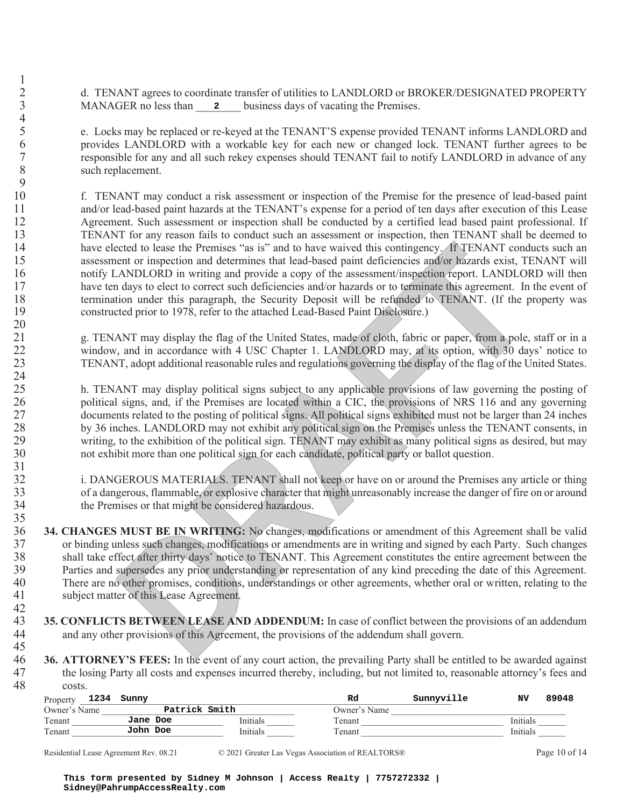2 d. TENANT agrees to coordinate transfer of utilities to LANDLORD or BROKER/DESIGNATED PROPERTY<br>3 MANAGER no less than 2 business days of vacating the Premises. MANAGER no less than <br>**2** business days of vacating the Premises.

5 e. Locks may be replaced or re-keyed at the TENANT'S expense provided TENANT informs LANDLORD and 6 provides LANDLORD with a workable key for each new or changed lock. TENANT further agrees to be responsible for any and all such rekey expenses should TENANT fail to notify LANDLORD in advance of any 7 responsible for any and all such rekey expenses should TENANT fail to notify LANDLORD in advance of any such replacement. such replacement.

10 f. TENANT may conduct a risk assessment or inspection of the Premise for the presence of lead-based paint and/or lead-based paint hazards at the TENANT's expense for a period of ten days after execution of this Lease and/or lead-based paint hazards at the TENANT's expense for a period of ten days after execution of this Lease 12 Agreement. Such assessment or inspection shall be conducted by a certified lead based paint professional. If 13 TENANT for any reason fails to conduct such an assessment or inspection, then TENANT shall be deemed to 14 have elected to lease the Premises "as is" and to have waived this contingency. If TENANT conducts such an 15 assessment or inspection and determines that lead-based paint deficiencies and/or hazards exist, TENANT will 16 notify LANDLORD in writing and provide a copy of the assessment/inspection report. LANDLORD will then 17 have ten days to elect to correct such deficiencies and/or hazards or to terminate this agreement. In the event of<br>18 termination under this paragraph, the Security Deposit will be refunded to TENANT. (If the property w 18 termination under this paragraph, the Security Deposit will be refunded to TENANT. (If the property was constructed prior to 1978, refer to the attached Lead-Based Paint Disclosure.) 19 constructed prior to 1978, refer to the attached Lead-Based Paint Disclosure.) ected to lease the Premises "as is" and to have waived this contingency. If JENANT conducted to lease the Premises as is" and to have waived this contingency. If JENANT conducted and  $\Delta$ -ANDLORD in writing and provide a c MANAGER no less than <u>2</u><br>
e. Locks may be replaced or re-<br>
provides LANDLORD with a<br>
responsible for any and all such<br>
such replacement.<br>
f. TENANT may conduct a risa-<br>
and/or lead-based paint hazards<br>
Agreement. Such asse

21 g. TENANT may display the flag of the United States, made of cloth, fabric or paper, from a pole, staff or in a 22 window, and in accordance with 4 USC Chapter 1. LANDLORD may, at its option, with 30 days' notice to 23 TENANT, adopt additional reasonable rules and regulations governing the display of the flag of the United States.

25 h. TENANT may display political signs subject to any applicable provisions of law governing the posting of 26 political signs, and, if the Premises are located within a CIC, the provisions of NRS 116 and any governing<br>27 documents related to the posting of political signs. All political signs exhibited must not be larger than 2 documents related to the posting of political signs. All political signs exhibited must not be larger than 24 inches 28 by 36 inches. LANDLORD may not exhibit any political sign on the Premises unless the TENANT consents, in 29 writing, to the exhibition of the political sign. TENANT may exhibit as many political signs as desired, but may<br>30 not exhibit more than one political sign for each candidate, political party or ballot question. not exhibit more than one political sign for each candidate, political party or ballot question.

32 i. DANGEROUS MATERIALS. TENANT shall not keep or have on or around the Premises any article or thing<br>33 of a dangerous, flammable, or explosive character that might unreasonably increase the danger of fire on or around 33 of a dangerous, flammable, or explosive character that might unreasonably increase the danger of fire on or around<br>34 the Premises or that might be considered hazardous. the Premises or that might be considered hazardous.

- 34. **34. CHANGES MUST BE IN WRITING:** No changes, modifications or amendment of this Agreement shall be valid or binding unless such changes, modifications or amendments are in writing and signed by each Party. Such change 37 or binding unless such changes, modifications or amendments are in writing and signed by each Party. Such changes<br>38 shall take effect after thirty days' notice to TENANT. This Agreement constitutes the entire agreement 38 shall take effect after thirty days' notice to TENANT. This Agreement constitutes the entire agreement between the<br>39 Parties and supersedes any prior understanding or representation of any kind preceding the date of th 39 Parties and supersedes any prior understanding or representation of any kind preceding the date of this Agreement.<br>40 There are no other promises, conditions, understandings or other agreements, whether oral or written, 40 There are no other promises, conditions, understandings or other agreements, whether oral or written, relating to the subject matter of this Lease Agreement. subject matter of this Lease Agreement.
- **43 35. CONFLICTS BETWEEN LEASE AND ADDENDUM:** In case of conflict between the provisions of an addendum and any other provisions of this Agreement, the provisions of the addendum shall govern. and any other provisions of this Agreement, the provisions of the addendum shall govern.
- 45

42

 $\frac{1}{2}$ 

 $\frac{4}{5}$ 

 $\frac{9}{10}$ 

20

 $\frac{24}{25}$ 

31

35

46 **36. ATTORNEY'S FEES:** In the event of any court action, the prevailing Party shall be entitled to be awarded against 47 the losing Party all costs and expenses incurred thereby, including, but not limited to, reasonable attorney's fees and costs. costs.

| Property     | 1234 | Sunny    |               | Rd           | Sunnyville | N٦       | 89048 |
|--------------|------|----------|---------------|--------------|------------|----------|-------|
| Owner's Name |      |          | Patrick Smith | Owner's Name |            |          |       |
| Tenant       |      | Jane Doe | Initials      | Tenant       |            | Initials |       |
| Tenant       |      | John Doe | Initials      | Tenant       |            | Initials |       |
|              |      |          |               |              |            |          |       |

Residential Lease Agreement Rev. 08.21 © 2021 Greater Las Vegas Association of REALTORS® Page 10 of 14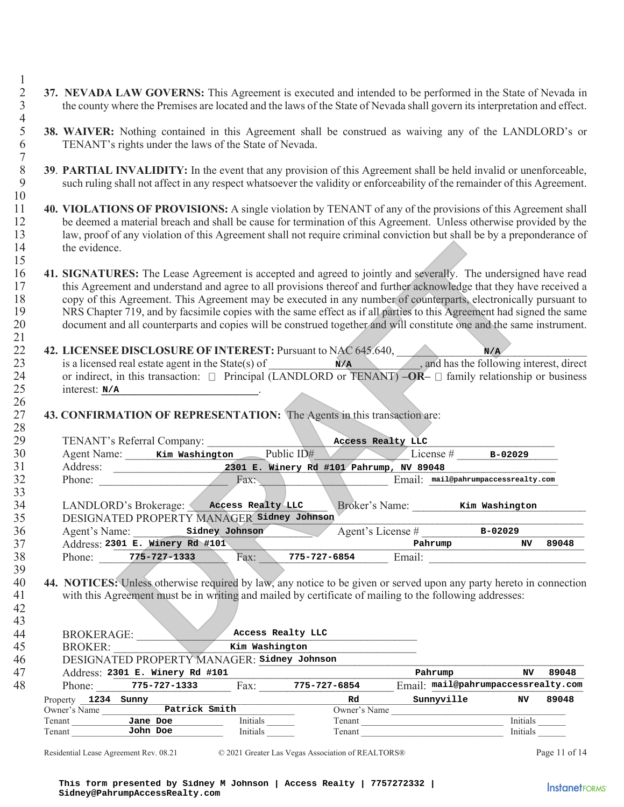- $\frac{1}{2}$ 2 **37. NEVADA LAW GOVERNS:** This Agreement is executed and intended to be performed in the State of Nevada in the county where the Premises are located and the laws of the State of Nevada shall govern its interpretation an 3 the county where the Premises are located and the laws of the State of Nevada shall govern its interpretation and effect.
- $\frac{4}{5}$ 5 **38. WAIVER:** Nothing contained in this Agreement shall be construed as waiving any of the LANDLORD's or 6 TENANT's rights under the laws of the State of Nevada.
- $7 \over 8$ 8 **39**. **PARTIAL INVALIDITY:** In the event that any provision of this Agreement shall be held invalid or unenforceable, 9 such ruling shall not affect in any respect whatsoever the validity or enforceability of the remainder of this Agreement.
- $\frac{10}{11}$ 11 **40. VIOLATIONS OF PROVISIONS:** A single violation by TENANT of any of the provisions of this Agreement shall 12 be deemed a material breach and shall be cause for termination of this Agreement. Unless otherwise provided by the 13 law, proof of any violation of this Agreement shall not require criminal conviction but shall be by a preponderance of the evidence. the evidence. 15
- 16 **41. SIGNATURES:** The Lease Agreement is accepted and agreed to jointly and severally. The undersigned have read this Agreement and understand and agree to all provisions thereof and further acknowledge that they have r 17 this Agreement and understand and agree to all provisions thereof and further acknowledge that they have received a<br>18 conv of this Agreement. This Agreement may be executed in any number of counterparts, electronically 18 copy of this Agreement. This Agreement may be executed in any number of counterparts, electronically pursuant to<br>19 NRS Chapter 719, and by facsimile copies with the same effect as if all parties to this Agreement had s NRS Chapter 719, and by facsimile copies with the same effect as if all parties to this Agreement had signed the same 20 document and all counterparts and copies will be construed together and will constitute one and the same instrument.
- 22 **42. LICENSEE DISCLOSURE OF INTEREST:** Pursuant to NAC 645.640, N/A

| 23 | is a licensed real estate agent in the State(s) of |  | N/A | , and has the following interest, direct                                                                                        |
|----|----------------------------------------------------|--|-----|---------------------------------------------------------------------------------------------------------------------------------|
| 24 |                                                    |  |     | or indirect, in this transaction: $\Box$ Principal (LANDLORD or TENANT) $-\overline{OR}$ $\Box$ family relationship or business |
| 25 | interest: N/A                                      |  |     |                                                                                                                                 |

|                     | the evidence. |                                                                                                                                                                                                                                                                                                                                                                                                                                                                                                                                                                                                            |          |                                                   |        |                                                                                                                       |     |          |               |
|---------------------|---------------|------------------------------------------------------------------------------------------------------------------------------------------------------------------------------------------------------------------------------------------------------------------------------------------------------------------------------------------------------------------------------------------------------------------------------------------------------------------------------------------------------------------------------------------------------------------------------------------------------------|----------|---------------------------------------------------|--------|-----------------------------------------------------------------------------------------------------------------------|-----|----------|---------------|
|                     |               | 41. SIGNATURES: The Lease Agreement is accepted and agreed to jointly and severally. The undersigned have read<br>this Agreement and understand and agree to all provisions thereof and further acknowledge that they have received a<br>copy of this Agreement. This Agreement may be executed in any number of counterparts, electronically pursuant to<br>NRS Chapter 719, and by facsimile copies with the same effect as if all parties to this Agreement had signed the same<br>document and all counterparts and copies will be construed together and will constitute one and the same instrument. |          |                                                   |        |                                                                                                                       |     |          |               |
|                     |               | 42. LICENSEE DISCLOSURE OF INTEREST: Pursuant to NAC 645.640,                                                                                                                                                                                                                                                                                                                                                                                                                                                                                                                                              |          |                                                   |        |                                                                                                                       | N/A |          |               |
|                     |               | is a licensed real estate agent in the State(s) of $\frac{\mathbf{N}/\mathbf{A}}{2}$ , and has the following interest, direct                                                                                                                                                                                                                                                                                                                                                                                                                                                                              |          |                                                   |        |                                                                                                                       |     |          |               |
|                     |               | or indirect, in this transaction: $\Box$ Principal (LANDLORD or TENANT) $-\overline{OR}$ $\Box$ family relationship or business                                                                                                                                                                                                                                                                                                                                                                                                                                                                            |          |                                                   |        |                                                                                                                       |     |          |               |
|                     | interest: N/A | the contract of the contract of the contract of the                                                                                                                                                                                                                                                                                                                                                                                                                                                                                                                                                        |          |                                                   |        |                                                                                                                       |     |          |               |
|                     |               |                                                                                                                                                                                                                                                                                                                                                                                                                                                                                                                                                                                                            |          |                                                   |        |                                                                                                                       |     |          |               |
|                     |               | 43. CONFIRMATION OF REPRESENTATION: The Agents in this transaction are:                                                                                                                                                                                                                                                                                                                                                                                                                                                                                                                                    |          |                                                   |        |                                                                                                                       |     |          |               |
|                     |               |                                                                                                                                                                                                                                                                                                                                                                                                                                                                                                                                                                                                            |          |                                                   |        |                                                                                                                       |     |          |               |
|                     |               |                                                                                                                                                                                                                                                                                                                                                                                                                                                                                                                                                                                                            |          |                                                   |        |                                                                                                                       |     |          |               |
|                     |               | Agent Name: Kim Washington Public ID# License # B-02029                                                                                                                                                                                                                                                                                                                                                                                                                                                                                                                                                    |          |                                                   |        |                                                                                                                       |     |          |               |
|                     |               |                                                                                                                                                                                                                                                                                                                                                                                                                                                                                                                                                                                                            |          |                                                   |        |                                                                                                                       |     |          |               |
|                     |               | Phone: Fax:                                                                                                                                                                                                                                                                                                                                                                                                                                                                                                                                                                                                |          |                                                   |        | Email: mail@pahrumpaccessrealty.com                                                                                   |     |          |               |
|                     |               |                                                                                                                                                                                                                                                                                                                                                                                                                                                                                                                                                                                                            |          |                                                   |        |                                                                                                                       |     |          |               |
|                     |               | LANDLORD's Brokerage: Access Realty LLC                                                                                                                                                                                                                                                                                                                                                                                                                                                                                                                                                                    |          |                                                   |        | Broker's Name: Kim Washington                                                                                         |     |          |               |
|                     |               | DESIGNATED PROPERTY MANAGER sidney Johnson                                                                                                                                                                                                                                                                                                                                                                                                                                                                                                                                                                 |          |                                                   |        |                                                                                                                       |     |          |               |
|                     |               | Agent's Name: Sidney Johnson                                                                                                                                                                                                                                                                                                                                                                                                                                                                                                                                                                               |          |                                                   |        | Agent's License # B-02029                                                                                             |     |          |               |
|                     |               |                                                                                                                                                                                                                                                                                                                                                                                                                                                                                                                                                                                                            |          |                                                   |        |                                                                                                                       |     |          | NV 89048      |
|                     |               | Address: 2301 E. Winery Rd #101 Pahrump Phone: 775-727-1333 Fax: 775-727-6854 Email:                                                                                                                                                                                                                                                                                                                                                                                                                                                                                                                       |          |                                                   |        |                                                                                                                       |     |          |               |
|                     |               |                                                                                                                                                                                                                                                                                                                                                                                                                                                                                                                                                                                                            |          |                                                   |        |                                                                                                                       |     |          |               |
|                     |               | 44. NOTICES: Unless otherwise required by law, any notice to be given or served upon any party hereto in connection<br>with this Agreement must be in writing and mailed by certificate of mailing to the following addresses:                                                                                                                                                                                                                                                                                                                                                                             |          |                                                   |        |                                                                                                                       |     |          |               |
|                     |               | BROKERAGE:                                                                                                                                                                                                                                                                                                                                                                                                                                                                                                                                                                                                 |          | Access Realty LLC<br>Kim Washington               |        |                                                                                                                       |     |          |               |
|                     |               | <b>BROKER:</b>                                                                                                                                                                                                                                                                                                                                                                                                                                                                                                                                                                                             |          |                                                   |        |                                                                                                                       |     |          |               |
|                     |               | DESIGNATED PROPERTY MANAGER: sidney Johnson                                                                                                                                                                                                                                                                                                                                                                                                                                                                                                                                                                |          |                                                   |        |                                                                                                                       |     |          |               |
|                     |               | Address: 2301 E. Winery Rd #101                                                                                                                                                                                                                                                                                                                                                                                                                                                                                                                                                                            |          |                                                   |        | Pahrump                                                                                                               |     | NV       | 89048         |
|                     |               | Phone: 775-727-1333                                                                                                                                                                                                                                                                                                                                                                                                                                                                                                                                                                                        |          | Fax: 775-727-6854                                 |        | Email: mail@pahrumpaccessrealty.com                                                                                   |     |          |               |
| Property 1234 Sunny |               |                                                                                                                                                                                                                                                                                                                                                                                                                                                                                                                                                                                                            |          |                                                   | Rd     | Sunnyville                                                                                                            |     | NV       | 89048         |
| Owner's Name        |               | Patrick Smith                                                                                                                                                                                                                                                                                                                                                                                                                                                                                                                                                                                              |          |                                                   |        | Owner's Name                                                                                                          |     |          |               |
| Tenant              |               | Jane Doe                                                                                                                                                                                                                                                                                                                                                                                                                                                                                                                                                                                                   | Initials |                                                   | Tenant | <u> 1980 - Jan Barbarat, martin da basar a shekara tsa 1980 - An tsa 1980 - An tsa 1980 - An tsa 1980 - An tsa 19</u> |     | Initials |               |
| Tenant              |               | John Doe                                                                                                                                                                                                                                                                                                                                                                                                                                                                                                                                                                                                   | Initials |                                                   | Tenant |                                                                                                                       |     | Initials |               |
|                     |               | Residential Lease Agreement Rev. 08.21                                                                                                                                                                                                                                                                                                                                                                                                                                                                                                                                                                     |          | © 2021 Greater Las Vegas Association of REALTORS® |        |                                                                                                                       |     |          | Page 11 of 14 |
|                     |               |                                                                                                                                                                                                                                                                                                                                                                                                                                                                                                                                                                                                            |          |                                                   |        |                                                                                                                       |     |          |               |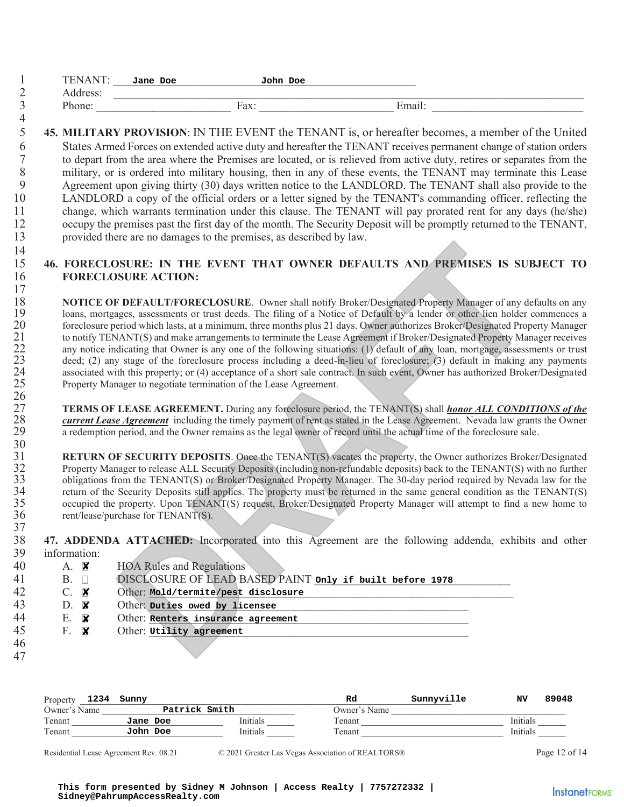|              |                          | TENANT: Jane Doe                                                                                                                                                                                                                                                                                                                                                                                                                                                                                                                                                                                                                                                                                                                                                                                                                                                                                                                                                                                               |               | John Doe |        |                                                                                           |          |       |
|--------------|--------------------------|----------------------------------------------------------------------------------------------------------------------------------------------------------------------------------------------------------------------------------------------------------------------------------------------------------------------------------------------------------------------------------------------------------------------------------------------------------------------------------------------------------------------------------------------------------------------------------------------------------------------------------------------------------------------------------------------------------------------------------------------------------------------------------------------------------------------------------------------------------------------------------------------------------------------------------------------------------------------------------------------------------------|---------------|----------|--------|-------------------------------------------------------------------------------------------|----------|-------|
|              |                          |                                                                                                                                                                                                                                                                                                                                                                                                                                                                                                                                                                                                                                                                                                                                                                                                                                                                                                                                                                                                                |               |          |        |                                                                                           |          |       |
|              |                          | Phone: Fax: Email: Email:                                                                                                                                                                                                                                                                                                                                                                                                                                                                                                                                                                                                                                                                                                                                                                                                                                                                                                                                                                                      |               |          |        |                                                                                           |          |       |
|              |                          | 45. MILITARY PROVISION: IN THE EVENT the TENANT is, or hereafter becomes, a member of the United<br>States Armed Forces on extended active duty and hereafter the TENANT receives permanent change of station orders<br>to depart from the area where the Premises are located, or is relieved from active duty, retires or separates from the<br>military, or is ordered into military housing, then in any of these events, the TENANT may terminate this Lease<br>Agreement upon giving thirty (30) days written notice to the LANDLORD. The TENANT shall also provide to the<br>LANDLORD a copy of the official orders or a letter signed by the TENANT's commanding officer, reflecting the<br>change, which warrants termination under this clause. The TENANT will pay prorated rent for any days (he/she)<br>occupy the premises past the first day of the month. The Security Deposit will be promptly returned to the TENANT,<br>provided there are no damages to the premises, as described by law. |               |          |        |                                                                                           |          |       |
|              |                          | 46. FORECLOSURE: IN THE EVENT THAT OWNER DEFAULTS AND PREMISES IS SUBJECT TO<br><b>FORECLOSURE ACTION:</b>                                                                                                                                                                                                                                                                                                                                                                                                                                                                                                                                                                                                                                                                                                                                                                                                                                                                                                     |               |          |        |                                                                                           |          |       |
|              |                          | NOTICE OF DEFAULT/FORECLOSURE. Owner shall notify Broker/Designated Property Manager of any defaults on any<br>loans, mortgages, assessments or trust deeds. The filing of a Notice of Default by a lender or other lien holder commences a<br>foreclosure period which lasts, at a minimum, three months plus 21 days. Owner authorizes Broker/Designated Property Manager<br>to notify TENANT(S) and make arrangements to terminate the Lease Agreement if Broker/Designated Property Manager receives<br>any notice indicating that Owner is any one of the following situations: (1) default of any loan, mortgage, assessments or trust<br>deed; (2) any stage of the foreclosure process including a deed-in-lieu of foreclosure; (3) default in making any payments<br>associated with this property; or (4) acceptance of a short sale contract. In such event, Owner has authorized Broker/Designated<br>Property Manager to negotiate termination of the Lease Agreement.                            |               |          |        |                                                                                           |          |       |
|              |                          | <b>TERMS OF LEASE AGREEMENT.</b> During any foreclosure period, the TENANT(S) shall <b>honor ALL CONDITIONS of the</b><br>current Lease Agreement including the timely payment of rent as stated in the Lease Agreement. Nevada law grants the Owner<br>a redemption period, and the Owner remains as the legal owner of record until the actual time of the foreclosure sale.                                                                                                                                                                                                                                                                                                                                                                                                                                                                                                                                                                                                                                 |               |          |        |                                                                                           |          |       |
|              |                          | <b>RETURN OF SECURITY DEPOSITS.</b> Once the TENANT(S) vacates the property, the Owner authorizes Broker/Designated<br>Property Manager to release ALL Security Deposits (including non-refundable deposits) back to the TENANT(S) with no further<br>obligations from the TENANT(S) or Broker/Designated Property Manager. The 30-day period required by Nevada law for the<br>return of the Security Deposits still applies. The property must be returned in the same general condition as the TENANT(S)<br>occupied the property. Upon TENANT(S) request, Broker/Designated Property Manager will attempt to find a new home to<br>rent/lease/purchase for TENANT(S).                                                                                                                                                                                                                                                                                                                                      |               |          |        |                                                                                           |          |       |
| information: |                          | 47. ADDENDA ATTACHED: Incorporated into this Agreement are the following addenda, exhibits and other                                                                                                                                                                                                                                                                                                                                                                                                                                                                                                                                                                                                                                                                                                                                                                                                                                                                                                           |               |          |        |                                                                                           |          |       |
|              | A. <b>X</b><br>$B. \Box$ | <b>HOA Rules and Regulations</b><br>DISCLOSURE OF LEAD BASED PAINT only if built before 1978                                                                                                                                                                                                                                                                                                                                                                                                                                                                                                                                                                                                                                                                                                                                                                                                                                                                                                                   |               |          |        |                                                                                           |          |       |
| $C_{\cdot}$  | X<br>$D.$ $\times$       | Other: Mold/termite/pest disclosure<br>Other: Duties owed by licensee                                                                                                                                                                                                                                                                                                                                                                                                                                                                                                                                                                                                                                                                                                                                                                                                                                                                                                                                          |               |          |        |                                                                                           |          |       |
| E.           | $\mathbf x$              | Other: Renters insurance agreement                                                                                                                                                                                                                                                                                                                                                                                                                                                                                                                                                                                                                                                                                                                                                                                                                                                                                                                                                                             |               |          |        | the control of the control of the control of the control of the control of the control of |          |       |
|              | $F.$ $\blacksquare$      | Other: Utility agreement                                                                                                                                                                                                                                                                                                                                                                                                                                                                                                                                                                                                                                                                                                                                                                                                                                                                                                                                                                                       |               |          |        |                                                                                           |          |       |
|              |                          |                                                                                                                                                                                                                                                                                                                                                                                                                                                                                                                                                                                                                                                                                                                                                                                                                                                                                                                                                                                                                |               |          |        |                                                                                           |          |       |
|              |                          | Property 1234 Sunny                                                                                                                                                                                                                                                                                                                                                                                                                                                                                                                                                                                                                                                                                                                                                                                                                                                                                                                                                                                            |               |          | Rd     | sumr                                                                                      | NV       | 89048 |
| Owner's Name |                          |                                                                                                                                                                                                                                                                                                                                                                                                                                                                                                                                                                                                                                                                                                                                                                                                                                                                                                                                                                                                                | Patrick Smith |          |        | Owner's Name                                                                              |          |       |
| Tenant       |                          | Jane Doe                                                                                                                                                                                                                                                                                                                                                                                                                                                                                                                                                                                                                                                                                                                                                                                                                                                                                                                                                                                                       | Initials      |          | Tenant |                                                                                           | Initials |       |

### 13 provided there are no damages to the premises, as described by law.

### $\frac{14}{15}$ 15 **46. FORECLOSURE: IN THE EVENT THAT OWNER DEFAULTS AND PREMISES IS SUBJECT TO FORECLOSURE ACTION: FORECLOSURE ACTION:**

|                                           |                                                                   | 46. FORECLOSURE: IN THE EVENT THAT OWNER DEFAULTS AND PREMISES IS SUF                                                  |               |
|-------------------------------------------|-------------------------------------------------------------------|------------------------------------------------------------------------------------------------------------------------|---------------|
|                                           | <b>FORECLOSURE ACTION:</b>                                        |                                                                                                                        |               |
|                                           |                                                                   |                                                                                                                        |               |
|                                           |                                                                   | NOTICE OF DEFAULT/FORECLOSURE. Owner shall notify Broker/Designated Property Manager of any de                         |               |
|                                           |                                                                   | loans, mortgages, assessments or trust deeds. The filing of a Notice of Default by a lender or other lien holder o     |               |
|                                           |                                                                   | foreclosure period which lasts, at a minimum, three months plus 21 days. Owner authorizes Broker/Designated Prop       |               |
|                                           |                                                                   | to notify TENANT(S) and make arrangements to terminate the Lease Agreement if Broker/Designated Property Man           |               |
|                                           |                                                                   | any notice indicating that Owner is any one of the following situations: (1) default of any loan, mortgage, assessment |               |
|                                           |                                                                   | deed; (2) any stage of the foreclosure process including a deed-in-lieu of foreclosure; (3) default in making a        |               |
|                                           |                                                                   | associated with this property; or (4) acceptance of a short sale contract. In such event, Owner has authorized Broke   |               |
|                                           | Property Manager to negotiate termination of the Lease Agreement. |                                                                                                                        |               |
|                                           |                                                                   |                                                                                                                        |               |
|                                           |                                                                   | TERMS OF LEASE AGREEMENT. During any foreclosure period, the TENANT(S) shall <i>honor ALL CONDI</i>                    |               |
|                                           |                                                                   | current Lease Agreement including the timely payment of rent as stated in the Lease Agreement. Nevada law gran         |               |
|                                           |                                                                   | a redemption period, and the Owner remains as the legal owner of record until the actual time of the foreclosure sale  |               |
|                                           |                                                                   |                                                                                                                        |               |
|                                           |                                                                   | RETURN OF SECURITY DEPOSITS. Once the TENANT(S) vacates the property, the Owner authorizes Broke                       |               |
|                                           |                                                                   | Property Manager to release ALL Security Deposits (including non-refundable deposits) back to the TENANT(S) w          |               |
|                                           |                                                                   | obligations from the TENANT(S) or Broker/Designated Property Manager. The 30-day period required by Nevad              |               |
|                                           |                                                                   | return of the Security Deposits still applies. The property must be returned in the same general condition as the      |               |
|                                           |                                                                   | occupied the property. Upon TENANT(S) request, Broker/Designated Property Manager will attempt to find a               |               |
|                                           | rent/lease/purchase for TENANT(S).                                |                                                                                                                        |               |
|                                           |                                                                   |                                                                                                                        |               |
|                                           |                                                                   | 47. ADDENDA ATTACHED: Incorporated into this Agreement are the following addenda, exhibits                             |               |
| information:                              |                                                                   |                                                                                                                        |               |
| A. <b>X</b>                               | <b>HOA Rules and Regulations</b>                                  |                                                                                                                        |               |
|                                           |                                                                   |                                                                                                                        |               |
|                                           |                                                                   |                                                                                                                        |               |
| $B. \Box$                                 |                                                                   | DISCLOSURE OF LEAD BASED PAINT only if built before 1978                                                               |               |
| $C.$ $X$                                  | Other: Mold/termite/pest disclosure                               |                                                                                                                        |               |
| $D.$ $\times$                             | Other Duties owed by licensee                                     |                                                                                                                        |               |
| E. <b>X</b>                               | Other: Renters insurance agreement                                | <u> 1989 - Johann Stein, marwolaethau a bhann an t-Amhair an t-Amhair an t-Amhair an t-Amhair an t-Amhair an t-A</u>   |               |
| F <sub>1</sub><br>$\overline{\mathbf{x}}$ | Other: Utility agreement                                          |                                                                                                                        |               |
|                                           |                                                                   |                                                                                                                        |               |
|                                           |                                                                   |                                                                                                                        |               |
|                                           |                                                                   |                                                                                                                        |               |
|                                           |                                                                   |                                                                                                                        |               |
|                                           |                                                                   |                                                                                                                        |               |
| Property 1234                             | Sunny                                                             | Sunnyville<br>Rd                                                                                                       |               |
| Owner's Name                              | Patrick Smith                                                     | Owner's Name                                                                                                           |               |
| Tenant                                    | Jane Doe                                                          | Initials<br>Tenant<br><u> 1980 - Andrea Barbara, poeta espa</u>                                                        | NV<br>Initial |
| Tenant                                    | John Doe                                                          | Initials<br>Tenant                                                                                                     | Initial       |
|                                           |                                                                   |                                                                                                                        |               |
|                                           | Residential Lease Agreement Rev. 08.21                            | © 2021 Greater Las Vegas Association of REALTORS®                                                                      |               |
|                                           |                                                                   |                                                                                                                        |               |

| ۰.<br>٧<br>I<br>ш |
|-------------------|
|-------------------|

 $\frac{17}{18}$ 

 $\frac{26}{27}$ 

 $\frac{30}{31}$ 

| Property     | 1234 Sunny    |          | Rd           | Sunnyville | NV       | 89048 |
|--------------|---------------|----------|--------------|------------|----------|-------|
| Owner's Name | Patrick Smith |          | Owner's Name |            |          |       |
| Tenant       | Jane Doe      | Initials | Tenant       |            | Initials |       |
| Tenant       | John Doe      | Initials | Tenant       |            | Initials |       |

Residential Lease Agreement Rev. 08.21 © 2021 Greater Las Vegas Association of REALTORS® Page 12 of 14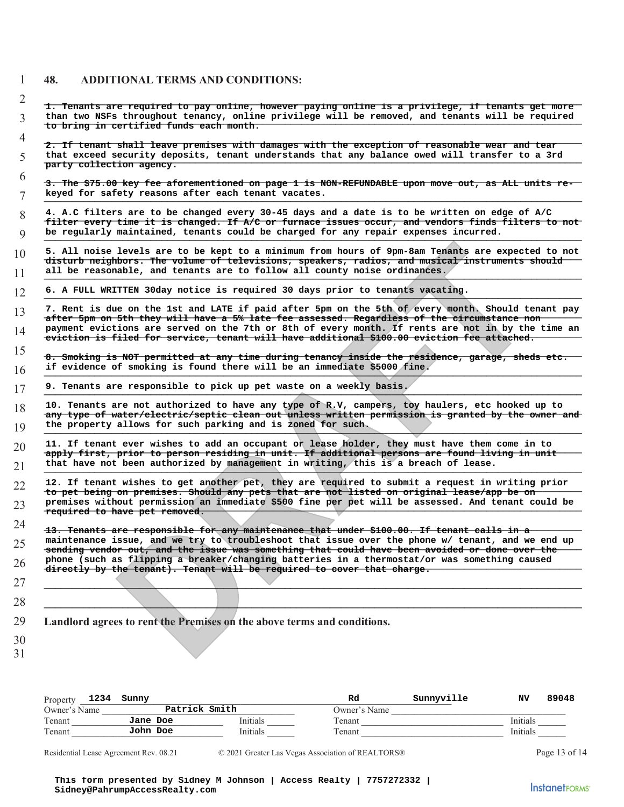### 1 **48. ADDITIONAL TERMS AND CONDITIONS:**

| 1. Tenants are required to pay online, however paying online is a privilege, if tenants get more                                                                                                            |
|-------------------------------------------------------------------------------------------------------------------------------------------------------------------------------------------------------------|
| than two NSFs throughout tenancy, online privilege will be removed, and tenants will be required                                                                                                            |
| to bring in certified funds each month.                                                                                                                                                                     |
|                                                                                                                                                                                                             |
| 2. If tenant shall leave premises with damages with the exception of reasonable wear and tear                                                                                                               |
| that exceed security deposits, tenant understands that any balance owed will transfer to a 3rd                                                                                                              |
| party collection agency.                                                                                                                                                                                    |
| 3. The \$75.00 key fee aforementioned on page 1 is NON-REFUNDABLE upon move out, as ALL units re-                                                                                                           |
| keyed for safety reasons after each tenant vacates.                                                                                                                                                         |
|                                                                                                                                                                                                             |
| 4. A.C filters are to be changed every 30-45 days and a date is to be written on edge of A/C<br>filter every time it is changed. If A/C or furnace issues occur, and vendors finds filters to not           |
| be regularly maintained, tenants could be charged for any repair expenses incurred.                                                                                                                         |
|                                                                                                                                                                                                             |
| 5. All noise levels are to be kept to a minimum from hours of 9pm-8am Tenants are expected to not                                                                                                           |
| disturb neighbors. The volume of televisions, speakers, radios, and musical instruments should                                                                                                              |
| all be reasonable, and tenants are to follow all county noise ordinances.                                                                                                                                   |
| 6. A FULL WRITTEN 30day notice is required 30 days prior to tenants vacating.                                                                                                                               |
|                                                                                                                                                                                                             |
| 7. Rent is due on the 1st and LATE if paid after 5pm on the 5th of every month. Should tenant pay                                                                                                           |
| after 5pm on 5th they will have a 5% late fee assessed. Regardless of the circumstance non                                                                                                                  |
| payment evictions are served on the 7th or 8th of every month. If rents are not in by the time an                                                                                                           |
| eviction is filed for service, tenant will have additional \$100.00 eviction fee attached.                                                                                                                  |
| 8. Smoking is NOT permitted at any time during tenancy inside the residence, garage, sheds etc.                                                                                                             |
| if evidence of smoking is found there will be an immediate \$5000 fine.                                                                                                                                     |
|                                                                                                                                                                                                             |
| 9. Tenants are responsible to pick up pet waste on a weekly basis.                                                                                                                                          |
| 10. Tenants are not authorized to have any type of R.V, campers, toy haulers, etc hooked up to                                                                                                              |
| any type of water/electric/septic clean out unless written permission is granted by the owner and                                                                                                           |
| the property allows for such parking and is zoned for such.                                                                                                                                                 |
|                                                                                                                                                                                                             |
| 11. If tenant ever wishes to add an occupant or lease holder, they must have them come in to                                                                                                                |
| apply first, prior to person residing in unit. If additional persons are found living in unit                                                                                                               |
| that have not been authorized by management in writing, this is a breach of lease.                                                                                                                          |
| 12. If tenant wishes to get another pet, they are required to submit a request in writing prior                                                                                                             |
| to pet being on premises. Should any pets that are not listed on original lease/app be on                                                                                                                   |
| premises without permission an immediate \$500 fine per pet will be assessed. And tenant could be                                                                                                           |
| required to have pet removed.                                                                                                                                                                               |
|                                                                                                                                                                                                             |
| 13. Tenants are responsible for any maintenance that under \$100.00. If tenant calls in a                                                                                                                   |
| maintenance issue, and we try to troubleshoot that issue over the phone w/ tenant, and we end up<br><u>sending vendor out, and the issue was something that could have been avoided or done over the se</u> |
| phone (such as flipping a breaker/changing batteries in a thermostat/or was something caused                                                                                                                |
| directly by the tenant). Tenant will be required to cover that charge.                                                                                                                                      |
|                                                                                                                                                                                                             |
|                                                                                                                                                                                                             |
|                                                                                                                                                                                                             |
|                                                                                                                                                                                                             |
| Landlord agrees to rent the Premises on the above terms and conditions.                                                                                                                                     |
|                                                                                                                                                                                                             |
|                                                                                                                                                                                                             |
|                                                                                                                                                                                                             |

| 1234<br>Property | Sunny         |          | Rd           | Sunnyville | NV       | 89048 |
|------------------|---------------|----------|--------------|------------|----------|-------|
| Owner's Name     | Patrick Smith |          | Owner's Name |            |          |       |
| Tenant           | Jane Doe      | Initials | Tenant       |            | Initials |       |
| Tenant           | John Doe      | Initials | Tenant       |            | Initials |       |
|                  |               |          |              |            |          |       |

Residential Lease Agreement Rev. 08.21 © 2021 Greater Las Vegas Association of REALTORS® Page 13 of 14